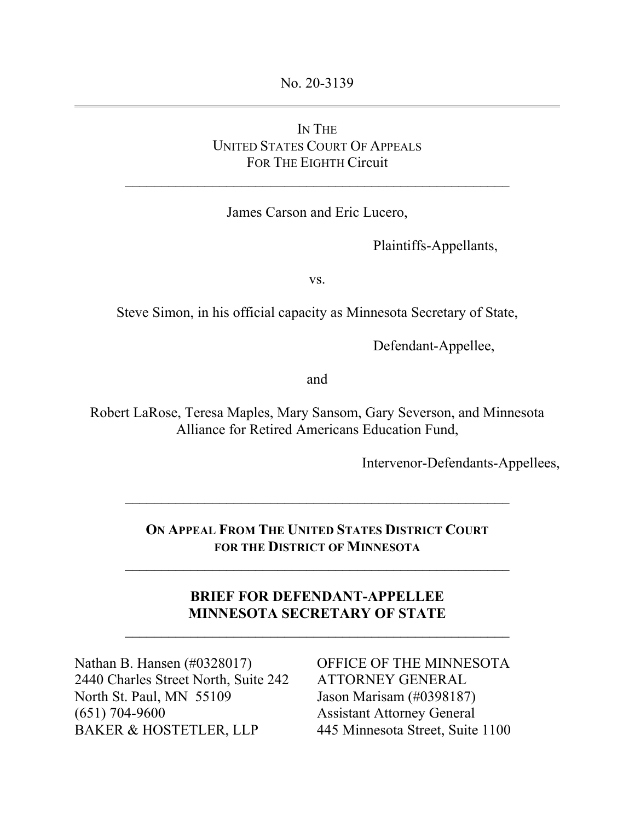No. 20-3139

# IN THE UNITED STATES COURT OF APPEALS FOR THE EIGHTH Circuit

James Carson and Eric Lucero,

Plaintiffs-Appellants,

vs.

Steve Simon, in his official capacity as Minnesota Secretary of State,

Defendant-Appellee,

and

Robert LaRose, Teresa Maples, Mary Sansom, Gary Severson, and Minnesota Alliance for Retired Americans Education Fund,

Intervenor-Defendants-Appellees,

**ON APPEAL FROM THE UNITED STATES DISTRICT COURT FOR THE DISTRICT OF MINNESOTA**

 $\mathcal{L}_\text{max}$  , and the contract of the contract of the contract of the contract of the contract of the contract of

 $\mathcal{L}_\text{max}$  and the contract of the contract of the contract of the contract of the contract of the contract of the contract of the contract of the contract of the contract of the contract of the contract of the contrac

**BRIEF FOR DEFENDANT-APPELLEE MINNESOTA SECRETARY OF STATE** 

 $\mathcal{L}_\text{max}$  , and the contract of the contract of the contract of the contract of the contract of the contract of the contract of the contract of the contract of the contract of the contract of the contract of the contr

Nathan B. Hansen (#0328017) 2440 Charles Street North, Suite 242 North St. Paul, MN 55109 (651) 704-9600 BAKER & HOSTETLER, LLP

OFFICE OF THE MINNESOTA ATTORNEY GENERAL Jason Marisam (#0398187) Assistant Attorney General 445 Minnesota Street, Suite 1100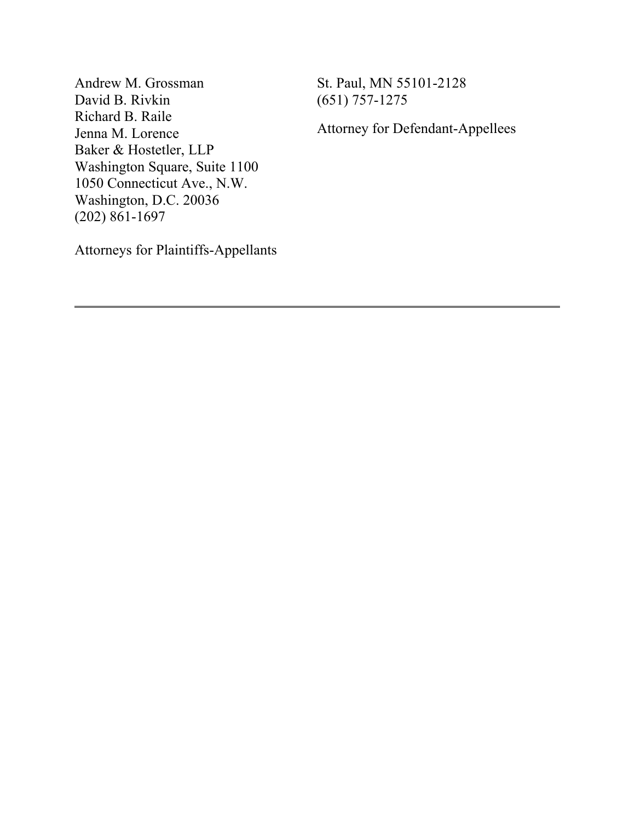Andrew M. Grossman David B. Rivkin Richard B. Raile Jenna M. Lorence Baker & Hostetler, LLP Washington Square, Suite 1100 1050 Connecticut Ave., N.W. Washington, D.C. 20036 (202) 861-1697

St. Paul, MN 55101-2128 (651) 757-1275

Attorney for Defendant-Appellees

Attorneys for Plaintiffs-Appellants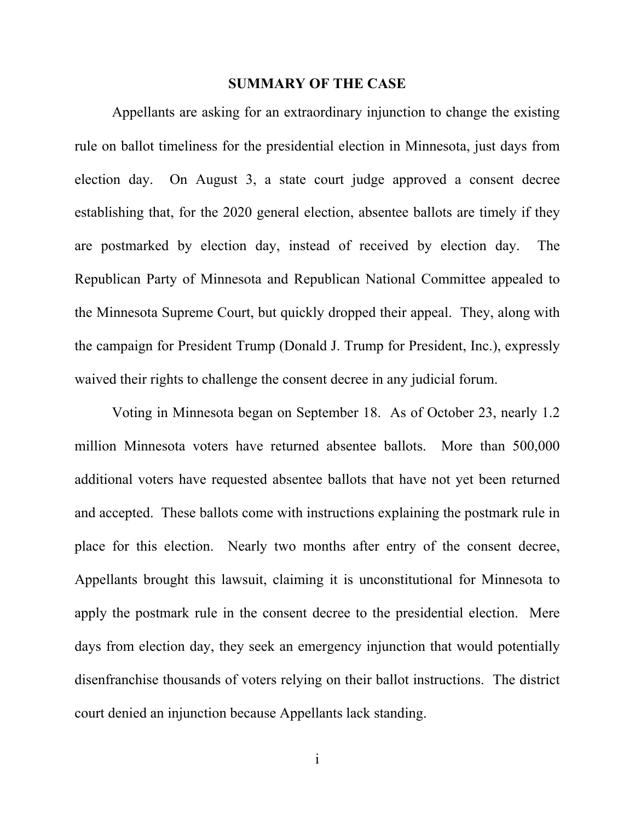#### **SUMMARY OF THE CASE**

Appellants are asking for an extraordinary injunction to change the existing rule on ballot timeliness for the presidential election in Minnesota, just days from election day. On August 3, a state court judge approved a consent decree establishing that, for the 2020 general election, absentee ballots are timely if they are postmarked by election day, instead of received by election day. The Republican Party of Minnesota and Republican National Committee appealed to the Minnesota Supreme Court, but quickly dropped their appeal. They, along with the campaign for President Trump (Donald J. Trump for President, Inc.), expressly waived their rights to challenge the consent decree in any judicial forum.

Voting in Minnesota began on September 18. As of October 23, nearly 1.2 million Minnesota voters have returned absentee ballots. More than 500,000 additional voters have requested absentee ballots that have not yet been returned and accepted. These ballots come with instructions explaining the postmark rule in place for this election. Nearly two months after entry of the consent decree, Appellants brought this lawsuit, claiming it is unconstitutional for Minnesota to apply the postmark rule in the consent decree to the presidential election. Mere days from election day, they seek an emergency injunction that would potentially disenfranchise thousands of voters relying on their ballot instructions. The district court denied an injunction because Appellants lack standing.

i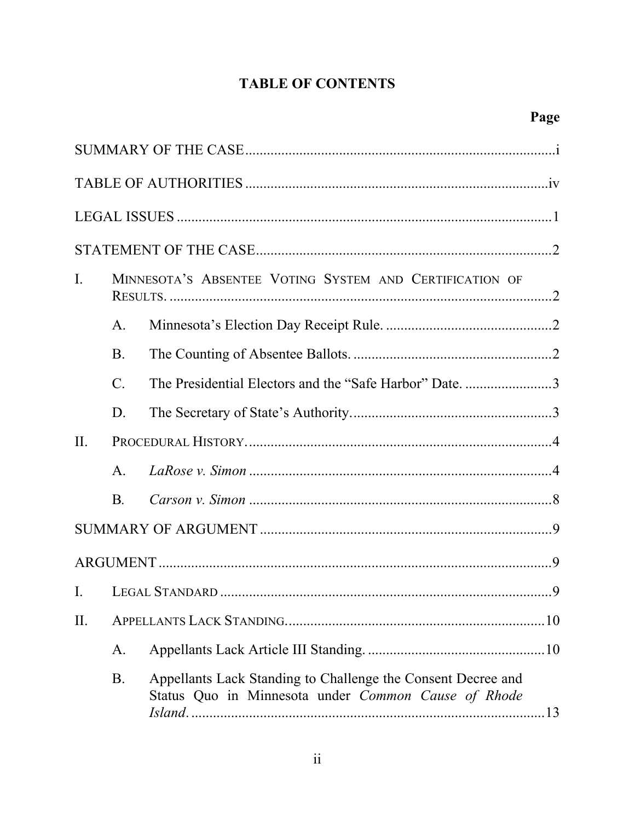# **TABLE OF CONTENTS**

| $\mathbf{I}$ . | MINNESOTA'S ABSENTEE VOTING SYSTEM AND CERTIFICATION OF |                                                                                                                     |  |  |
|----------------|---------------------------------------------------------|---------------------------------------------------------------------------------------------------------------------|--|--|
|                | A.                                                      |                                                                                                                     |  |  |
|                | <b>B.</b>                                               |                                                                                                                     |  |  |
|                | $\mathcal{C}$ .                                         | The Presidential Electors and the "Safe Harbor" Date. 3                                                             |  |  |
|                | D.                                                      |                                                                                                                     |  |  |
| II.            |                                                         |                                                                                                                     |  |  |
|                | $A_{\cdot}$                                             |                                                                                                                     |  |  |
|                | <b>B.</b>                                               |                                                                                                                     |  |  |
|                |                                                         |                                                                                                                     |  |  |
|                |                                                         |                                                                                                                     |  |  |
| I.             |                                                         |                                                                                                                     |  |  |
| II.            |                                                         |                                                                                                                     |  |  |
|                | A.                                                      |                                                                                                                     |  |  |
|                | B.                                                      | Appellants Lack Standing to Challenge the Consent Decree and<br>Status Quo in Minnesota under Common Cause of Rhode |  |  |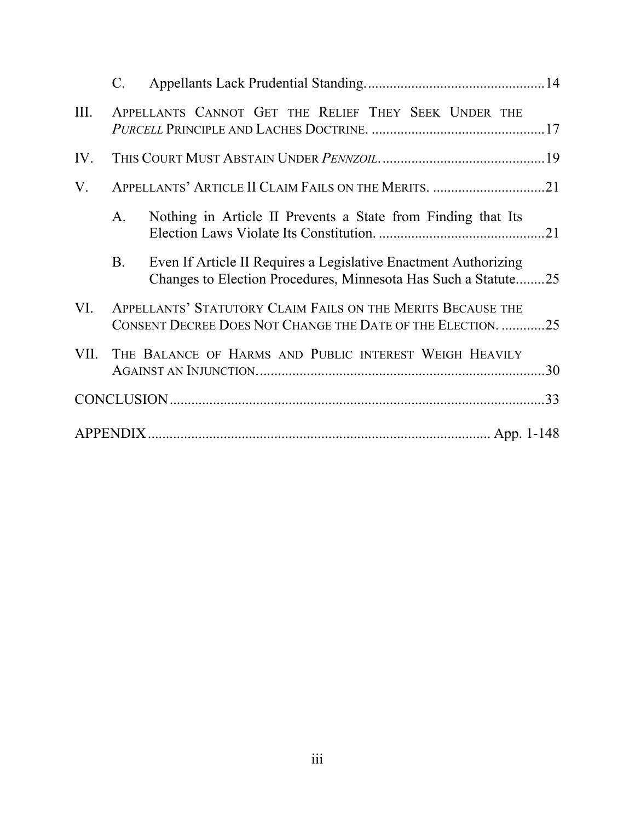|      | C.                                                                                                                         |                                                                                                                                   |  |
|------|----------------------------------------------------------------------------------------------------------------------------|-----------------------------------------------------------------------------------------------------------------------------------|--|
| III. |                                                                                                                            | APPELLANTS CANNOT GET THE RELIEF THEY SEEK UNDER THE                                                                              |  |
| IV.  |                                                                                                                            |                                                                                                                                   |  |
| V.   |                                                                                                                            |                                                                                                                                   |  |
|      | A.                                                                                                                         | Nothing in Article II Prevents a State from Finding that Its                                                                      |  |
|      | <b>B.</b>                                                                                                                  | Even If Article II Requires a Legislative Enactment Authorizing<br>Changes to Election Procedures, Minnesota Has Such a Statute25 |  |
| VI.  | APPELLANTS' STATUTORY CLAIM FAILS ON THE MERITS BECAUSE THE<br>CONSENT DECREE DOES NOT CHANGE THE DATE OF THE ELECTION. 25 |                                                                                                                                   |  |
| VII. |                                                                                                                            | THE BALANCE OF HARMS AND PUBLIC INTEREST WEIGH HEAVILY                                                                            |  |
|      |                                                                                                                            |                                                                                                                                   |  |
|      |                                                                                                                            |                                                                                                                                   |  |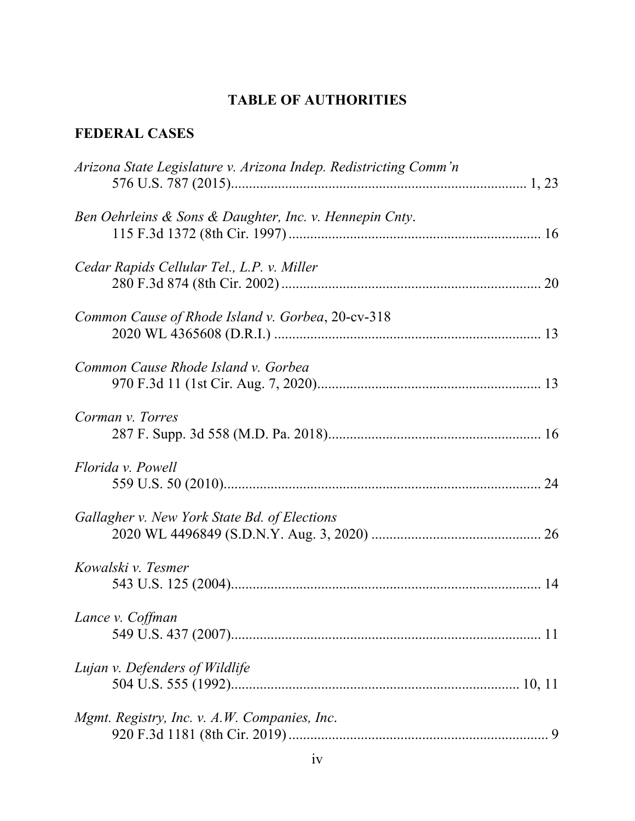# **TABLE OF AUTHORITIES**

# **FEDERAL CASES**

| Arizona State Legislature v. Arizona Indep. Redistricting Comm'n |
|------------------------------------------------------------------|
| Ben Oehrleins & Sons & Daughter, Inc. v. Hennepin Cnty.          |
| Cedar Rapids Cellular Tel., L.P. v. Miller                       |
| Common Cause of Rhode Island v. Gorbea, 20-cv-318                |
| Common Cause Rhode Island v. Gorbea                              |
| Corman v. Torres                                                 |
| Florida v. Powell                                                |
| Gallagher v. New York State Bd. of Elections                     |
| Kowalski v. Tesmer                                               |
| Lance v. Coffman                                                 |
| Lujan v. Defenders of Wildlife                                   |
| Mgmt. Registry, Inc. v. A.W. Companies, Inc.                     |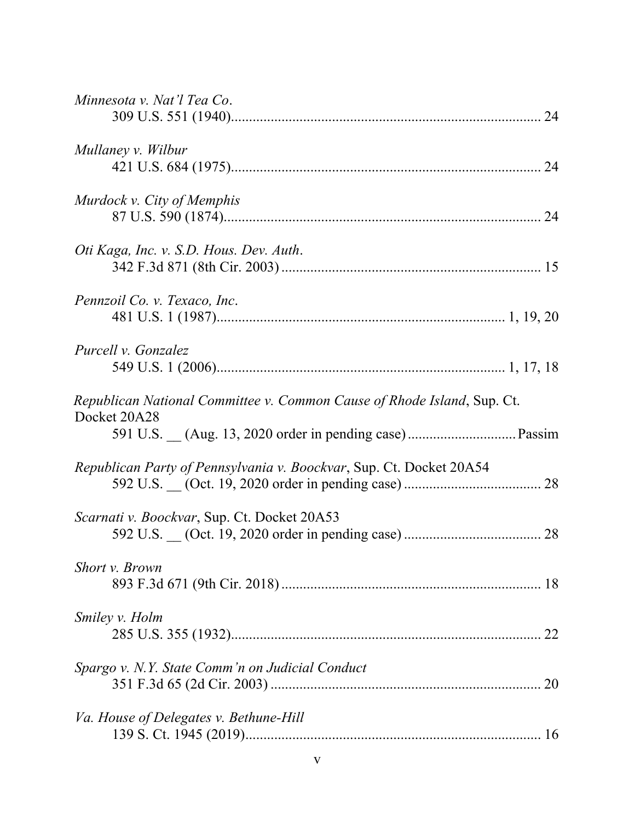| Minnesota v. Nat'l Tea Co.                                                              |    |
|-----------------------------------------------------------------------------------------|----|
| Mullaney v. Wilbur                                                                      |    |
| Murdock v. City of Memphis                                                              |    |
| Oti Kaga, Inc. v. S.D. Hous. Dev. Auth.                                                 |    |
| Pennzoil Co. v. Texaco, Inc.                                                            |    |
| Purcell v. Gonzalez                                                                     |    |
| Republican National Committee v. Common Cause of Rhode Island, Sup. Ct.<br>Docket 20A28 |    |
| Republican Party of Pennsylvania v. Boockvar, Sup. Ct. Docket 20A54                     |    |
| Scarnati v. Boockvar, Sup. Ct. Docket 20A53                                             |    |
| <b>Short v. Brown</b>                                                                   |    |
| <i>Smiley v. Holm</i>                                                                   | 22 |
| Spargo v. N.Y. State Comm'n on Judicial Conduct                                         | 20 |
| Va. House of Delegates v. Bethune-Hill                                                  |    |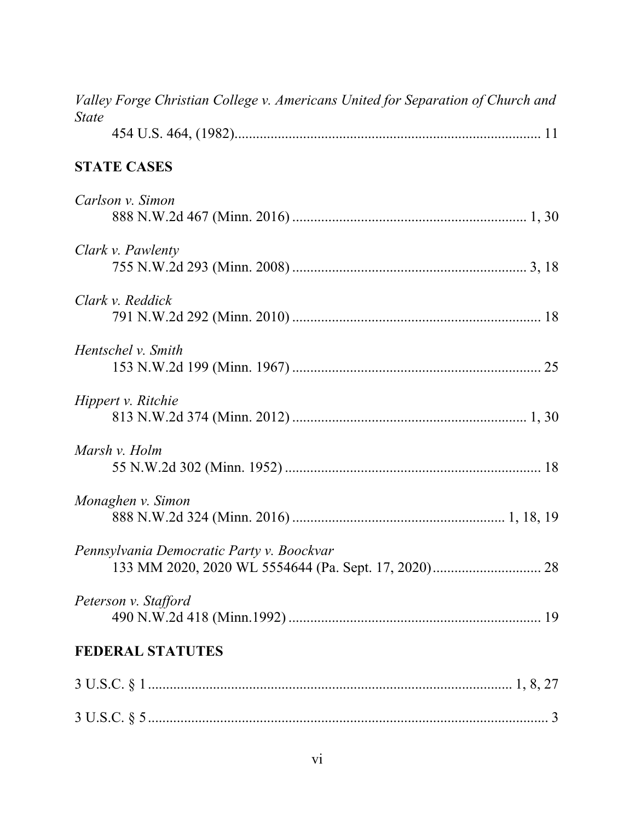| Valley Forge Christian College v. Americans United for Separation of Church and |
|---------------------------------------------------------------------------------|
| <i>State</i>                                                                    |
| <b>STATE CASES</b>                                                              |
| Carlson v. Simon                                                                |
| Clark v. Pawlenty                                                               |
| Clark v. Reddick                                                                |
| Hentschel v. Smith                                                              |
| Hippert v. Ritchie                                                              |
| Marsh v. Holm                                                                   |
| Monaghen v. Simon                                                               |
| Pennsylvania Democratic Party v. Boockvar                                       |
| Peterson v. Stafford                                                            |
| <b>FEDERAL STATUTES</b>                                                         |
|                                                                                 |
|                                                                                 |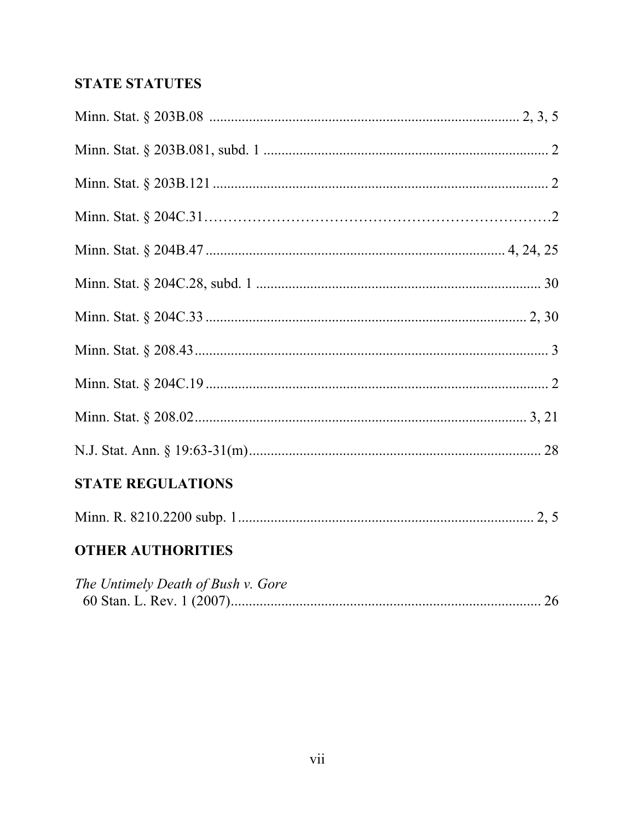# **STATE STATUTES**

| <b>STATE REGULATIONS</b> |  |
|--------------------------|--|
|                          |  |

# **OTHER AUTHORITIES**

| The Untimely Death of Bush v. Gore |  |
|------------------------------------|--|
|                                    |  |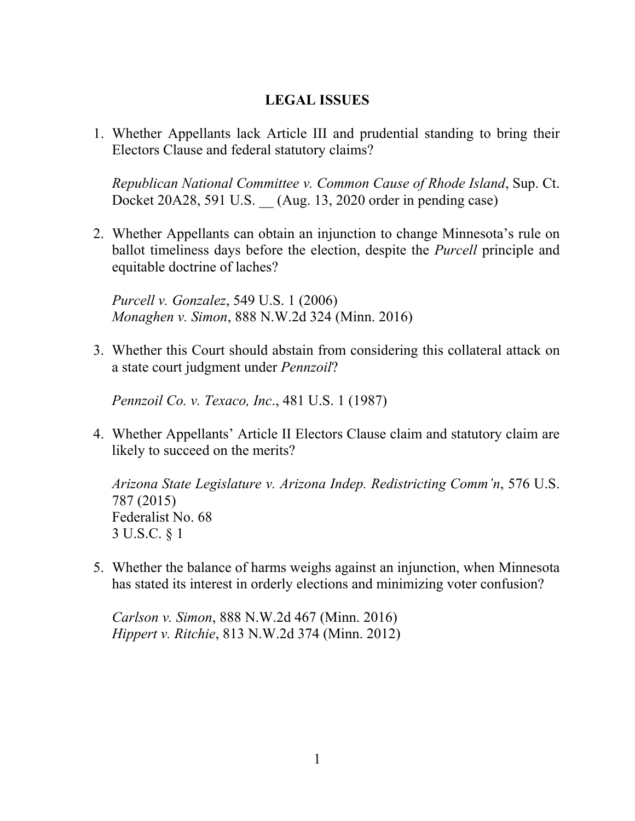## **LEGAL ISSUES**

1. Whether Appellants lack Article III and prudential standing to bring their Electors Clause and federal statutory claims?

*Republican National Committee v. Common Cause of Rhode Island*, Sup. Ct. Docket 20A28, 591 U.S. (Aug. 13, 2020 order in pending case)

2. Whether Appellants can obtain an injunction to change Minnesota's rule on ballot timeliness days before the election, despite the *Purcell* principle and equitable doctrine of laches?

*Purcell v. Gonzalez*, 549 U.S. 1 (2006) *Monaghen v. Simon*, 888 N.W.2d 324 (Minn. 2016)

3. Whether this Court should abstain from considering this collateral attack on a state court judgment under *Pennzoil*?

*Pennzoil Co. v. Texaco, Inc*., 481 U.S. 1 (1987)

4. Whether Appellants' Article II Electors Clause claim and statutory claim are likely to succeed on the merits?

*Arizona State Legislature v. Arizona Indep. Redistricting Comm'n*, 576 U.S. 787 (2015) Federalist No. 68 3 U.S.C. § 1

5. Whether the balance of harms weighs against an injunction, when Minnesota has stated its interest in orderly elections and minimizing voter confusion?

*Carlson v. Simon*, 888 N.W.2d 467 (Minn. 2016) *Hippert v. Ritchie*, 813 N.W.2d 374 (Minn. 2012)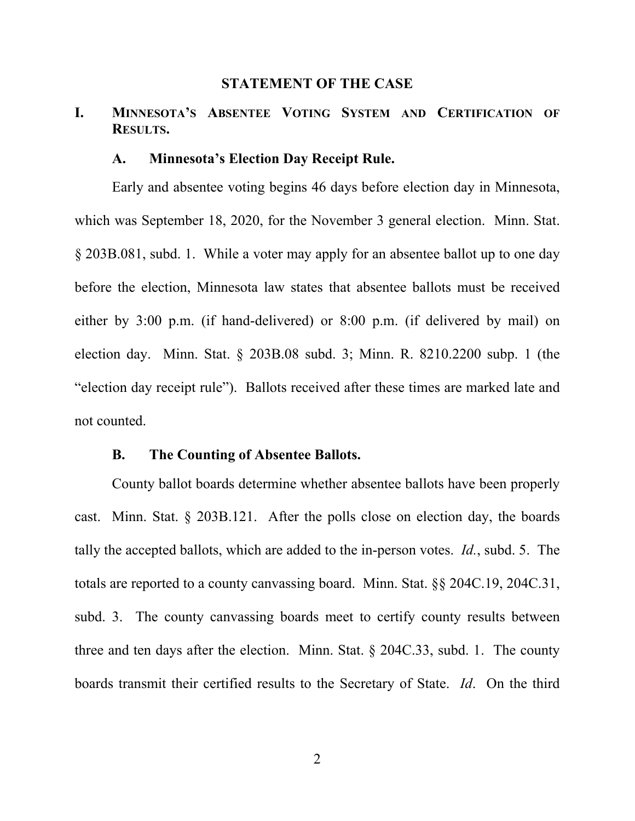#### **STATEMENT OF THE CASE**

## **I. MINNESOTA'S ABSENTEE VOTING SYSTEM AND CERTIFICATION OF RESULTS.**

#### **A. Minnesota's Election Day Receipt Rule.**

Early and absentee voting begins 46 days before election day in Minnesota, which was September 18, 2020, for the November 3 general election. Minn. Stat. § 203B.081, subd. 1. While a voter may apply for an absentee ballot up to one day before the election, Minnesota law states that absentee ballots must be received either by 3:00 p.m. (if hand-delivered) or 8:00 p.m. (if delivered by mail) on election day. Minn. Stat. § 203B.08 subd. 3; Minn. R. 8210.2200 subp. 1 (the "election day receipt rule"). Ballots received after these times are marked late and not counted.

### **B. The Counting of Absentee Ballots.**

County ballot boards determine whether absentee ballots have been properly cast. Minn. Stat. § 203B.121. After the polls close on election day, the boards tally the accepted ballots, which are added to the in-person votes. *Id.*, subd. 5. The totals are reported to a county canvassing board. Minn. Stat. §§ 204C.19, 204C.31, subd. 3. The county canvassing boards meet to certify county results between three and ten days after the election. Minn. Stat. § 204C.33, subd. 1. The county boards transmit their certified results to the Secretary of State. *Id*. On the third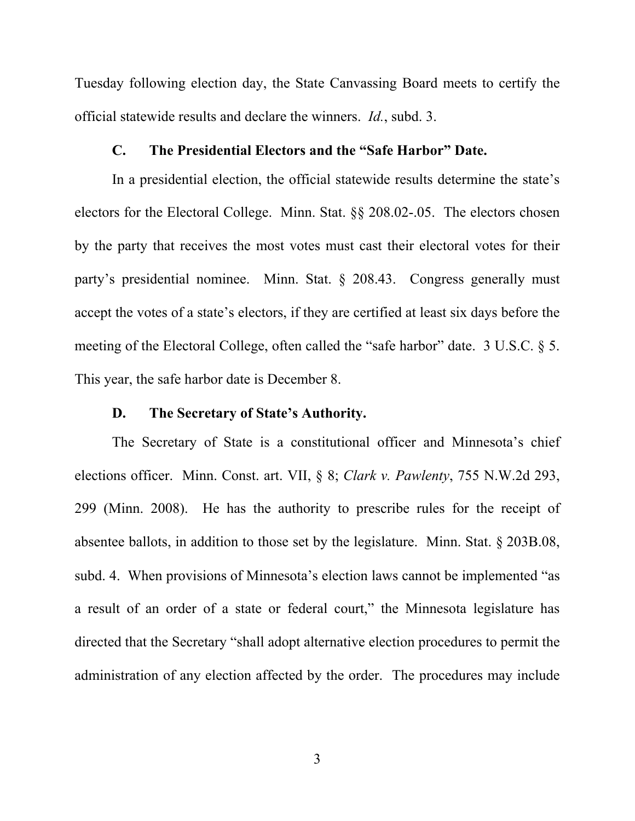Tuesday following election day, the State Canvassing Board meets to certify the official statewide results and declare the winners. *Id.*, subd. 3.

#### **C. The Presidential Electors and the "Safe Harbor" Date.**

In a presidential election, the official statewide results determine the state's electors for the Electoral College. Minn. Stat. §§ 208.02-.05. The electors chosen by the party that receives the most votes must cast their electoral votes for their party's presidential nominee. Minn. Stat. § 208.43. Congress generally must accept the votes of a state's electors, if they are certified at least six days before the meeting of the Electoral College, often called the "safe harbor" date. 3 U.S.C. § 5. This year, the safe harbor date is December 8.

#### **D. The Secretary of State's Authority.**

The Secretary of State is a constitutional officer and Minnesota's chief elections officer. Minn. Const. art. VII, § 8; *Clark v. Pawlenty*, 755 N.W.2d 293, 299 (Minn. 2008). He has the authority to prescribe rules for the receipt of absentee ballots, in addition to those set by the legislature. Minn. Stat. § 203B.08, subd. 4. When provisions of Minnesota's election laws cannot be implemented "as a result of an order of a state or federal court," the Minnesota legislature has directed that the Secretary "shall adopt alternative election procedures to permit the administration of any election affected by the order. The procedures may include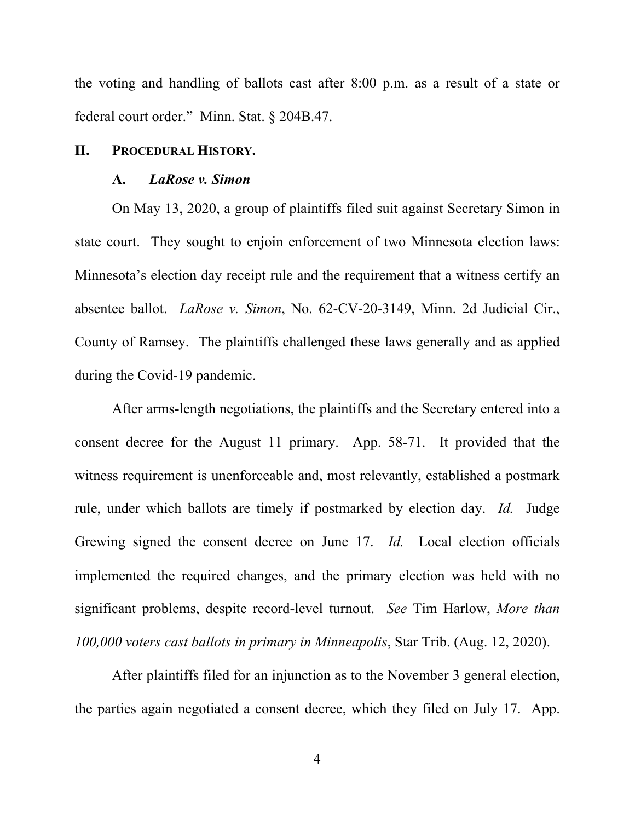the voting and handling of ballots cast after 8:00 p.m. as a result of a state or federal court order." Minn. Stat. § 204B.47.

#### **II. PROCEDURAL HISTORY.**

#### **A.** *LaRose v. Simon*

On May 13, 2020, a group of plaintiffs filed suit against Secretary Simon in state court. They sought to enjoin enforcement of two Minnesota election laws: Minnesota's election day receipt rule and the requirement that a witness certify an absentee ballot. *LaRose v. Simon*, No. 62-CV-20-3149, Minn. 2d Judicial Cir., County of Ramsey. The plaintiffs challenged these laws generally and as applied during the Covid-19 pandemic.

After arms-length negotiations, the plaintiffs and the Secretary entered into a consent decree for the August 11 primary. App. 58-71. It provided that the witness requirement is unenforceable and, most relevantly, established a postmark rule, under which ballots are timely if postmarked by election day. *Id.* Judge Grewing signed the consent decree on June 17. *Id.* Local election officials implemented the required changes, and the primary election was held with no significant problems, despite record-level turnout. *See* Tim Harlow, *More than 100,000 voters cast ballots in primary in Minneapolis*, Star Trib. (Aug. 12, 2020).

After plaintiffs filed for an injunction as to the November 3 general election, the parties again negotiated a consent decree, which they filed on July 17. App.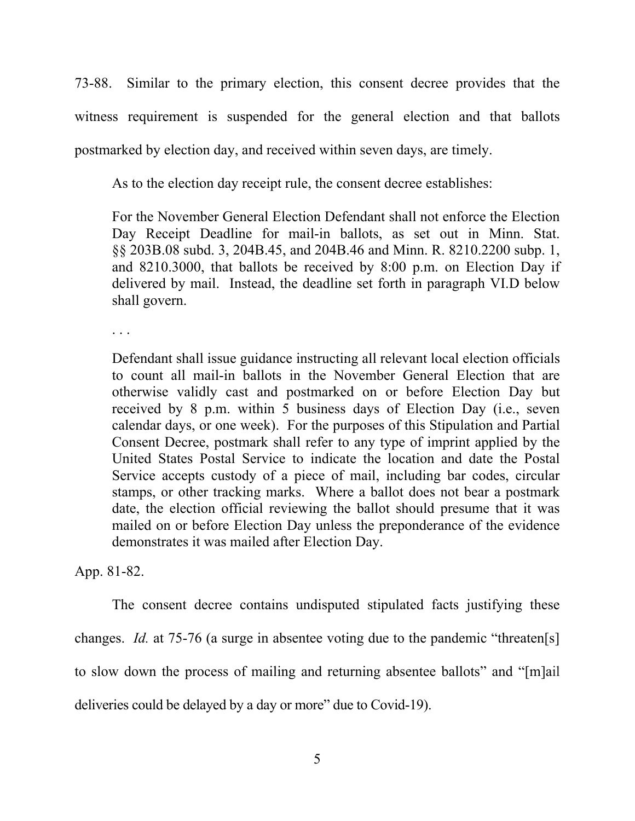73-88. Similar to the primary election, this consent decree provides that the witness requirement is suspended for the general election and that ballots postmarked by election day, and received within seven days, are timely.

As to the election day receipt rule, the consent decree establishes:

For the November General Election Defendant shall not enforce the Election Day Receipt Deadline for mail-in ballots, as set out in Minn. Stat. §§ 203B.08 subd. 3, 204B.45, and 204B.46 and Minn. R. 8210.2200 subp. 1, and 8210.3000, that ballots be received by 8:00 p.m. on Election Day if delivered by mail. Instead, the deadline set forth in paragraph VI.D below shall govern.

. . .

Defendant shall issue guidance instructing all relevant local election officials to count all mail-in ballots in the November General Election that are otherwise validly cast and postmarked on or before Election Day but received by 8 p.m. within 5 business days of Election Day (i.e., seven calendar days, or one week). For the purposes of this Stipulation and Partial Consent Decree, postmark shall refer to any type of imprint applied by the United States Postal Service to indicate the location and date the Postal Service accepts custody of a piece of mail, including bar codes, circular stamps, or other tracking marks. Where a ballot does not bear a postmark date, the election official reviewing the ballot should presume that it was mailed on or before Election Day unless the preponderance of the evidence demonstrates it was mailed after Election Day.

App. 81-82.

The consent decree contains undisputed stipulated facts justifying these changes. *Id.* at 75-76 (a surge in absentee voting due to the pandemic "threaten[s] to slow down the process of mailing and returning absentee ballots" and "[m]ail deliveries could be delayed by a day or more" due to Covid-19).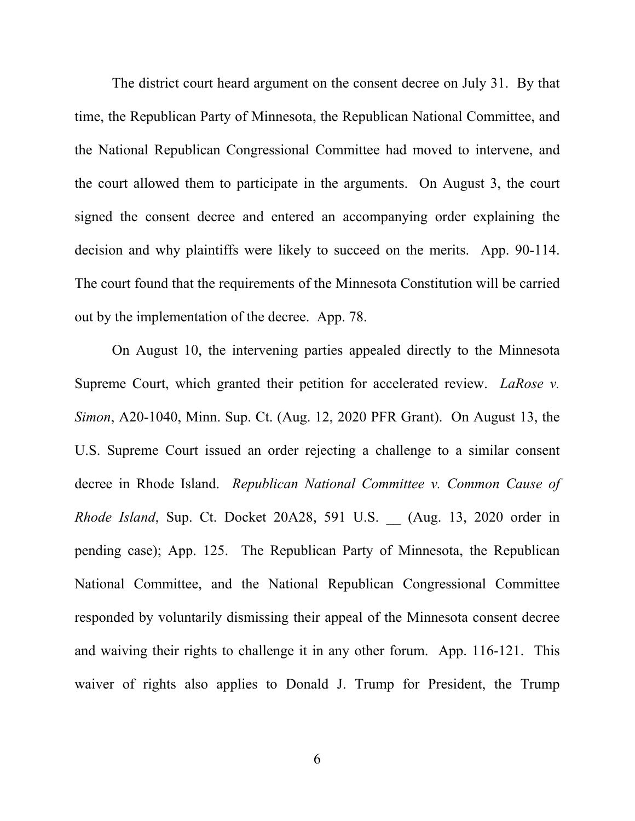The district court heard argument on the consent decree on July 31. By that time, the Republican Party of Minnesota, the Republican National Committee, and the National Republican Congressional Committee had moved to intervene, and the court allowed them to participate in the arguments. On August 3, the court signed the consent decree and entered an accompanying order explaining the decision and why plaintiffs were likely to succeed on the merits. App. 90-114. The court found that the requirements of the Minnesota Constitution will be carried out by the implementation of the decree. App. 78.

On August 10, the intervening parties appealed directly to the Minnesota Supreme Court, which granted their petition for accelerated review. *LaRose v. Simon*, A20-1040, Minn. Sup. Ct. (Aug. 12, 2020 PFR Grant). On August 13, the U.S. Supreme Court issued an order rejecting a challenge to a similar consent decree in Rhode Island. *Republican National Committee v. Common Cause of Rhode Island*, Sup. Ct. Docket 20A28, 591 U.S. \_\_ (Aug. 13, 2020 order in pending case); App. 125. The Republican Party of Minnesota, the Republican National Committee, and the National Republican Congressional Committee responded by voluntarily dismissing their appeal of the Minnesota consent decree and waiving their rights to challenge it in any other forum. App. 116-121. This waiver of rights also applies to Donald J. Trump for President, the Trump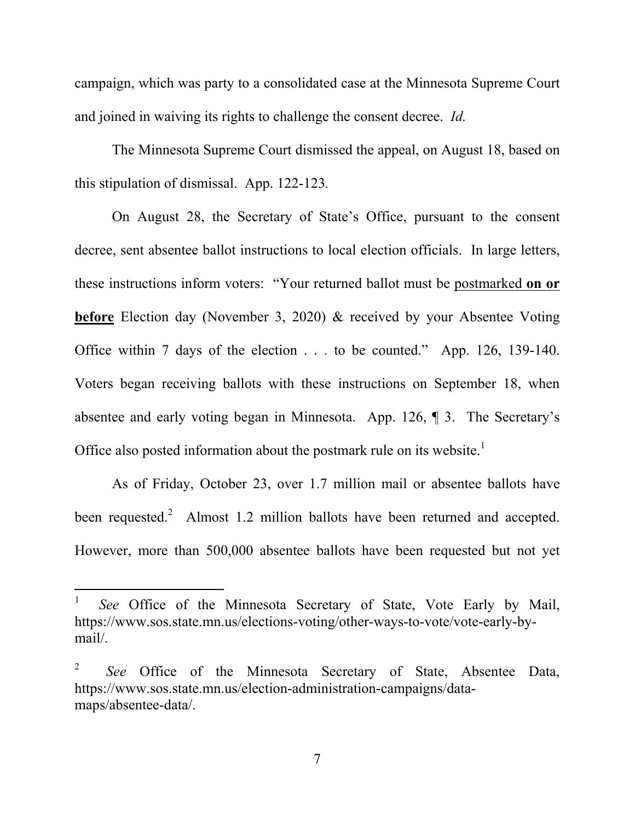campaign, which was party to a consolidated case at the Minnesota Supreme Court and joined in waiving its rights to challenge the consent decree. *Id.* 

The Minnesota Supreme Court dismissed the appeal, on August 18, based on this stipulation of dismissal. App. 122-123*.*

On August 28, the Secretary of State's Office, pursuant to the consent decree, sent absentee ballot instructions to local election officials. In large letters, these instructions inform voters: "Your returned ballot must be postmarked **on or before** Election day (November 3, 2020) & received by your Absentee Voting Office within 7 days of the election . . . to be counted." App. 126, 139-140. Voters began receiving ballots with these instructions on September 18, when absentee and early voting began in Minnesota. App. 126, ¶ 3. The Secretary's Office also posted information about the postmark rule on its website.<sup>1</sup>

As of Friday, October 23, over 1.7 million mail or absentee ballots have been requested.<sup>2</sup> Almost 1.2 million ballots have been returned and accepted. However, more than 500,000 absentee ballots have been requested but not yet

-

<sup>1</sup> *See* Office of the Minnesota Secretary of State, Vote Early by Mail, https://www.sos.state.mn.us/elections-voting/other-ways-to-vote/vote-early-bymail/.

<sup>2</sup> *See* Office of the Minnesota Secretary of State, Absentee Data, https://www.sos.state.mn.us/election-administration-campaigns/datamaps/absentee-data/.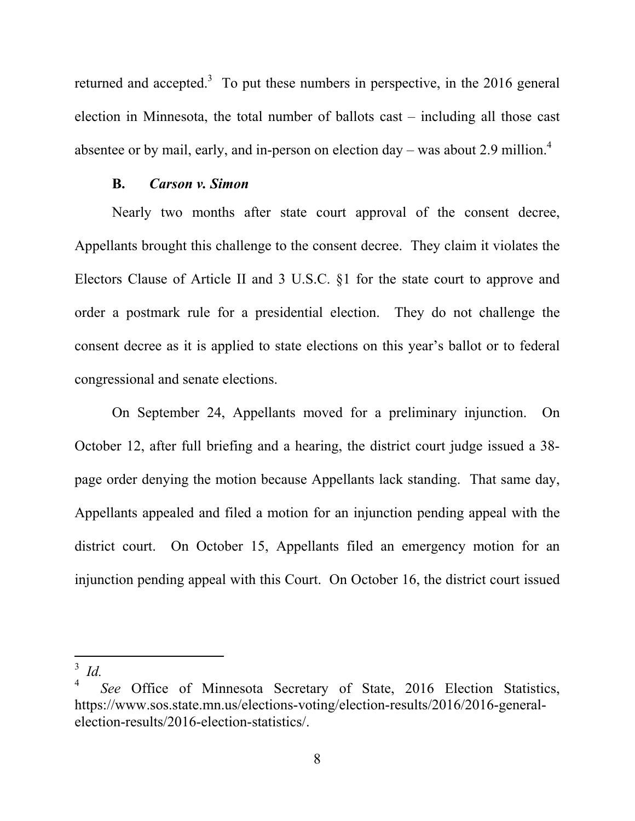returned and accepted.<sup>3</sup> To put these numbers in perspective, in the 2016 general election in Minnesota, the total number of ballots cast – including all those cast absentee or by mail, early, and in-person on election day – was about 2.9 million.<sup>4</sup>

### **B.** *Carson v. Simon*

Nearly two months after state court approval of the consent decree, Appellants brought this challenge to the consent decree. They claim it violates the Electors Clause of Article II and 3 U.S.C. §1 for the state court to approve and order a postmark rule for a presidential election. They do not challenge the consent decree as it is applied to state elections on this year's ballot or to federal congressional and senate elections.

On September 24, Appellants moved for a preliminary injunction. On October 12, after full briefing and a hearing, the district court judge issued a 38 page order denying the motion because Appellants lack standing. That same day, Appellants appealed and filed a motion for an injunction pending appeal with the district court. On October 15, Appellants filed an emergency motion for an injunction pending appeal with this Court. On October 16, the district court issued

 $\overline{a}$ 

<sup>3</sup> *Id.*

<sup>4</sup> *See* Office of Minnesota Secretary of State, 2016 Election Statistics, https://www.sos.state.mn.us/elections-voting/election-results/2016/2016-generalelection-results/2016-election-statistics/.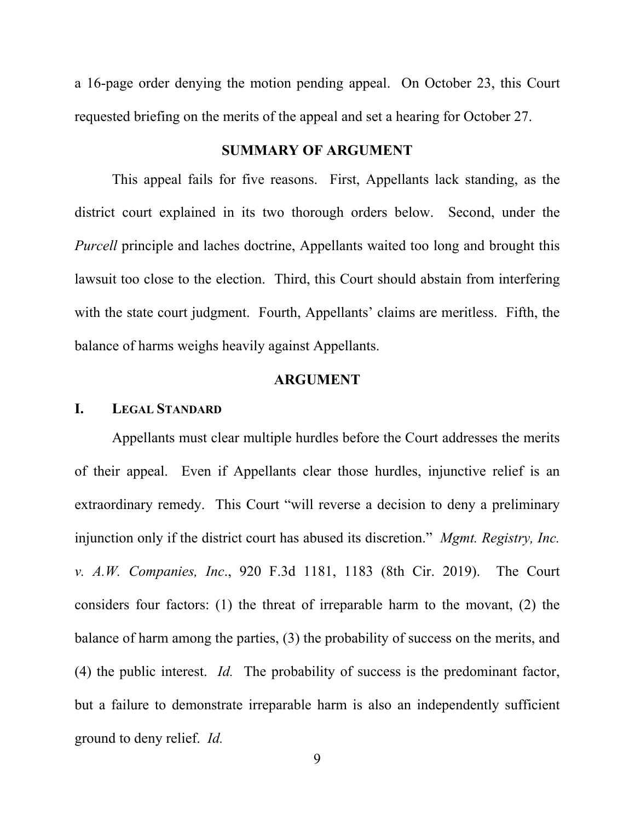a 16-page order denying the motion pending appeal. On October 23, this Court requested briefing on the merits of the appeal and set a hearing for October 27.

## **SUMMARY OF ARGUMENT**

This appeal fails for five reasons. First, Appellants lack standing, as the district court explained in its two thorough orders below. Second, under the *Purcell* principle and laches doctrine, Appellants waited too long and brought this lawsuit too close to the election. Third, this Court should abstain from interfering with the state court judgment. Fourth, Appellants' claims are meritless. Fifth, the balance of harms weighs heavily against Appellants.

### **ARGUMENT**

#### **I. LEGAL STANDARD**

Appellants must clear multiple hurdles before the Court addresses the merits of their appeal. Even if Appellants clear those hurdles, injunctive relief is an extraordinary remedy. This Court "will reverse a decision to deny a preliminary injunction only if the district court has abused its discretion." *Mgmt. Registry, Inc. v. A.W. Companies, Inc*., 920 F.3d 1181, 1183 (8th Cir. 2019). The Court considers four factors: (1) the threat of irreparable harm to the movant, (2) the balance of harm among the parties, (3) the probability of success on the merits, and (4) the public interest. *Id.* The probability of success is the predominant factor, but a failure to demonstrate irreparable harm is also an independently sufficient ground to deny relief. *Id.*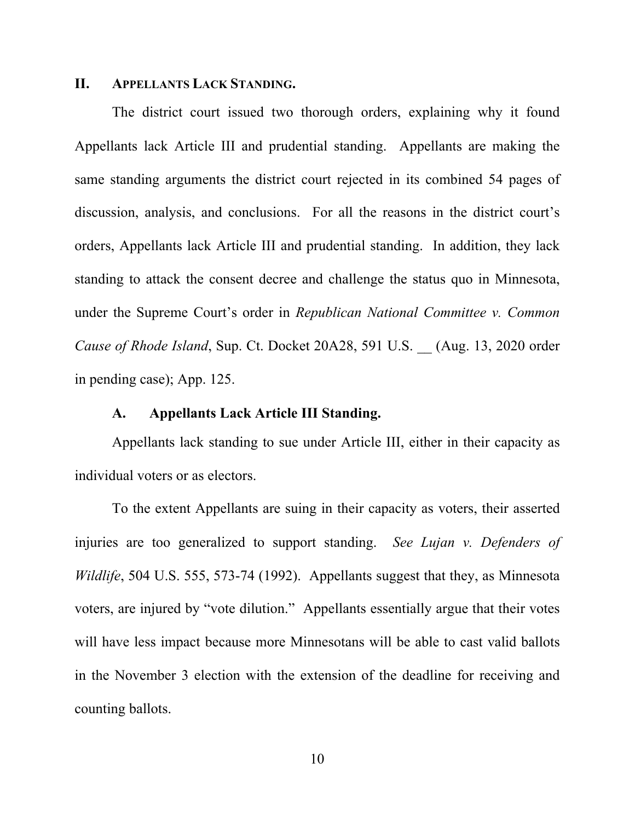#### **II. APPELLANTS LACK STANDING.**

The district court issued two thorough orders, explaining why it found Appellants lack Article III and prudential standing. Appellants are making the same standing arguments the district court rejected in its combined 54 pages of discussion, analysis, and conclusions. For all the reasons in the district court's orders, Appellants lack Article III and prudential standing. In addition, they lack standing to attack the consent decree and challenge the status quo in Minnesota, under the Supreme Court's order in *Republican National Committee v. Common Cause of Rhode Island*, Sup. Ct. Docket 20A28, 591 U.S. \_\_ (Aug. 13, 2020 order in pending case); App. 125.

## **A. Appellants Lack Article III Standing.**

Appellants lack standing to sue under Article III, either in their capacity as individual voters or as electors.

To the extent Appellants are suing in their capacity as voters, their asserted injuries are too generalized to support standing. *See Lujan v. Defenders of Wildlife*, 504 U.S. 555, 573-74 (1992). Appellants suggest that they, as Minnesota voters, are injured by "vote dilution." Appellants essentially argue that their votes will have less impact because more Minnesotans will be able to cast valid ballots in the November 3 election with the extension of the deadline for receiving and counting ballots.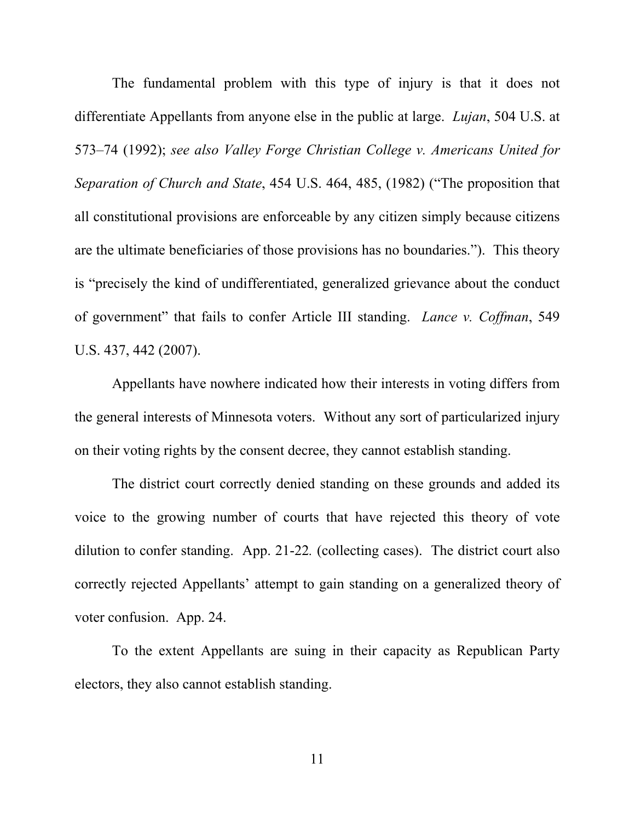The fundamental problem with this type of injury is that it does not differentiate Appellants from anyone else in the public at large. *Lujan*, 504 U.S. at 573–74 (1992); *see also Valley Forge Christian College v. Americans United for Separation of Church and State*, 454 U.S. 464, 485, (1982) ("The proposition that all constitutional provisions are enforceable by any citizen simply because citizens are the ultimate beneficiaries of those provisions has no boundaries."). This theory is "precisely the kind of undifferentiated, generalized grievance about the conduct of government" that fails to confer Article III standing. *Lance v. Coffman*, 549 U.S. 437, 442 (2007).

Appellants have nowhere indicated how their interests in voting differs from the general interests of Minnesota voters. Without any sort of particularized injury on their voting rights by the consent decree, they cannot establish standing.

The district court correctly denied standing on these grounds and added its voice to the growing number of courts that have rejected this theory of vote dilution to confer standing. App. 21-22*.* (collecting cases). The district court also correctly rejected Appellants' attempt to gain standing on a generalized theory of voter confusion. App. 24.

To the extent Appellants are suing in their capacity as Republican Party electors, they also cannot establish standing.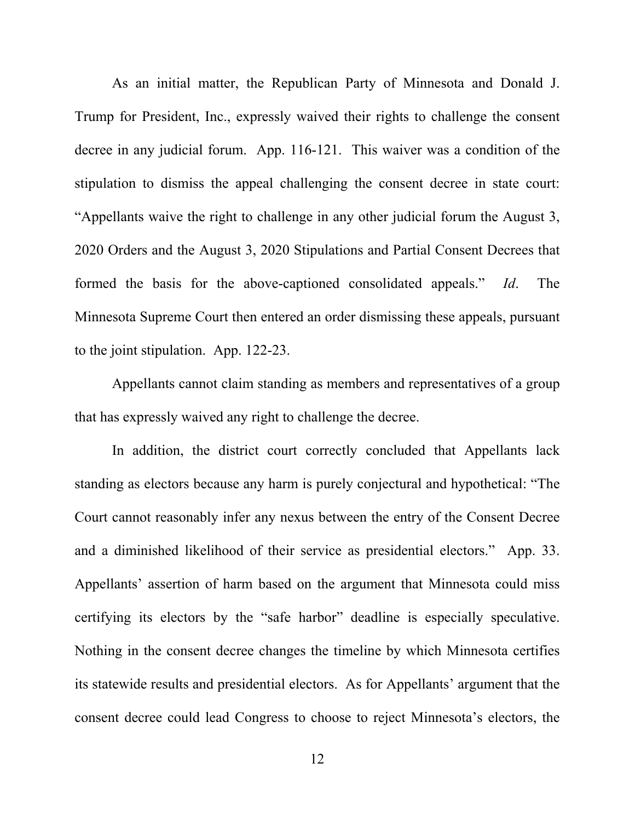As an initial matter, the Republican Party of Minnesota and Donald J. Trump for President, Inc., expressly waived their rights to challenge the consent decree in any judicial forum. App. 116-121. This waiver was a condition of the stipulation to dismiss the appeal challenging the consent decree in state court: "Appellants waive the right to challenge in any other judicial forum the August 3, 2020 Orders and the August 3, 2020 Stipulations and Partial Consent Decrees that formed the basis for the above-captioned consolidated appeals." *Id*. The Minnesota Supreme Court then entered an order dismissing these appeals, pursuant to the joint stipulation. App. 122-23.

Appellants cannot claim standing as members and representatives of a group that has expressly waived any right to challenge the decree.

In addition, the district court correctly concluded that Appellants lack standing as electors because any harm is purely conjectural and hypothetical: "The Court cannot reasonably infer any nexus between the entry of the Consent Decree and a diminished likelihood of their service as presidential electors." App. 33. Appellants' assertion of harm based on the argument that Minnesota could miss certifying its electors by the "safe harbor" deadline is especially speculative. Nothing in the consent decree changes the timeline by which Minnesota certifies its statewide results and presidential electors. As for Appellants' argument that the consent decree could lead Congress to choose to reject Minnesota's electors, the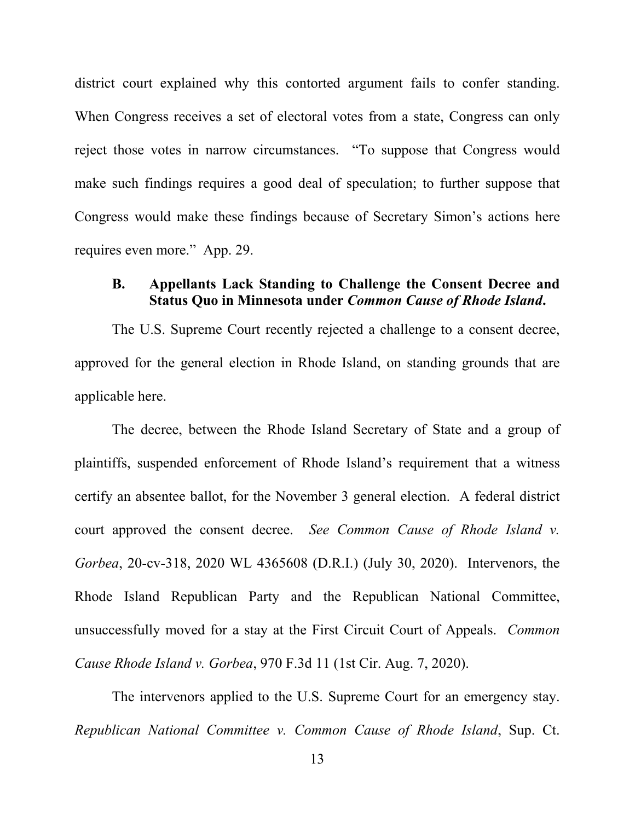district court explained why this contorted argument fails to confer standing. When Congress receives a set of electoral votes from a state, Congress can only reject those votes in narrow circumstances. "To suppose that Congress would make such findings requires a good deal of speculation; to further suppose that Congress would make these findings because of Secretary Simon's actions here requires even more." App. 29.

## **B. Appellants Lack Standing to Challenge the Consent Decree and Status Quo in Minnesota under** *Common Cause of Rhode Island***.**

The U.S. Supreme Court recently rejected a challenge to a consent decree, approved for the general election in Rhode Island, on standing grounds that are applicable here.

The decree, between the Rhode Island Secretary of State and a group of plaintiffs, suspended enforcement of Rhode Island's requirement that a witness certify an absentee ballot, for the November 3 general election. A federal district court approved the consent decree. *See Common Cause of Rhode Island v. Gorbea*, 20-cv-318, 2020 WL 4365608 (D.R.I.) (July 30, 2020). Intervenors, the Rhode Island Republican Party and the Republican National Committee, unsuccessfully moved for a stay at the First Circuit Court of Appeals. *Common Cause Rhode Island v. Gorbea*, 970 F.3d 11 (1st Cir. Aug. 7, 2020).

The intervenors applied to the U.S. Supreme Court for an emergency stay. *Republican National Committee v. Common Cause of Rhode Island*, Sup. Ct.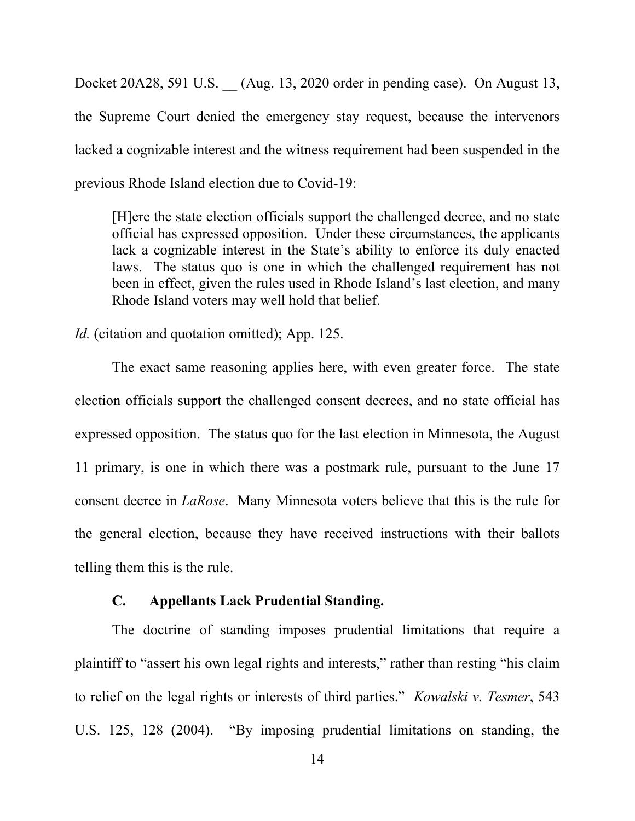Docket 20A28, 591 U.S. \_\_ (Aug. 13, 2020 order in pending case). On August 13, the Supreme Court denied the emergency stay request, because the intervenors lacked a cognizable interest and the witness requirement had been suspended in the previous Rhode Island election due to Covid-19:

[H]ere the state election officials support the challenged decree, and no state official has expressed opposition. Under these circumstances, the applicants lack a cognizable interest in the State's ability to enforce its duly enacted laws. The status quo is one in which the challenged requirement has not been in effect, given the rules used in Rhode Island's last election, and many Rhode Island voters may well hold that belief.

*Id.* (citation and quotation omitted); App. 125.

The exact same reasoning applies here, with even greater force. The state election officials support the challenged consent decrees, and no state official has expressed opposition. The status quo for the last election in Minnesota, the August 11 primary, is one in which there was a postmark rule, pursuant to the June 17 consent decree in *LaRose*. Many Minnesota voters believe that this is the rule for the general election, because they have received instructions with their ballots telling them this is the rule.

### **C. Appellants Lack Prudential Standing.**

The doctrine of standing imposes prudential limitations that require a plaintiff to "assert his own legal rights and interests," rather than resting "his claim to relief on the legal rights or interests of third parties." *Kowalski v. Tesmer*, 543 U.S. 125, 128 (2004). "By imposing prudential limitations on standing, the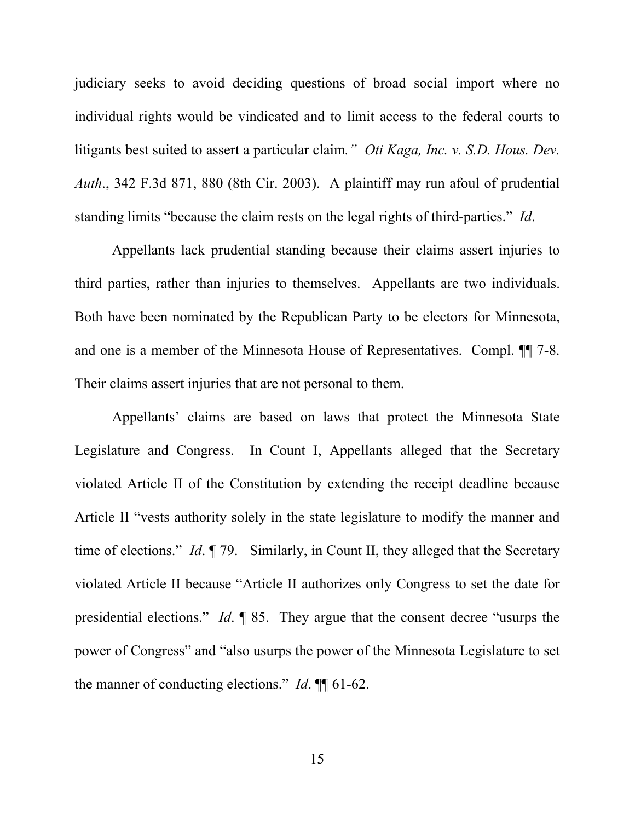judiciary seeks to avoid deciding questions of broad social import where no individual rights would be vindicated and to limit access to the federal courts to litigants best suited to assert a particular claim*." Oti Kaga, Inc. v. S.D. Hous. Dev. Auth*., 342 F.3d 871, 880 (8th Cir. 2003). A plaintiff may run afoul of prudential standing limits "because the claim rests on the legal rights of third-parties." *Id*.

Appellants lack prudential standing because their claims assert injuries to third parties, rather than injuries to themselves. Appellants are two individuals. Both have been nominated by the Republican Party to be electors for Minnesota, and one is a member of the Minnesota House of Representatives. Compl. ¶¶ 7-8. Their claims assert injuries that are not personal to them.

Appellants' claims are based on laws that protect the Minnesota State Legislature and Congress. In Count I, Appellants alleged that the Secretary violated Article II of the Constitution by extending the receipt deadline because Article II "vests authority solely in the state legislature to modify the manner and time of elections." *Id.* 179. Similarly, in Count II, they alleged that the Secretary violated Article II because "Article II authorizes only Congress to set the date for presidential elections." *Id*. ¶ 85. They argue that the consent decree "usurps the power of Congress" and "also usurps the power of the Minnesota Legislature to set the manner of conducting elections." *Id*. ¶¶ 61-62.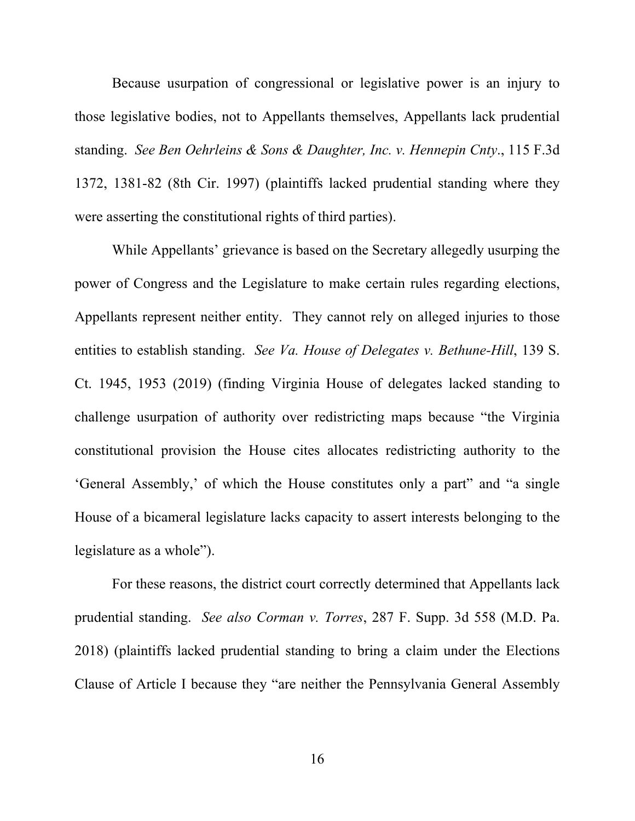Because usurpation of congressional or legislative power is an injury to those legislative bodies, not to Appellants themselves, Appellants lack prudential standing. *See Ben Oehrleins & Sons & Daughter, Inc. v. Hennepin Cnty*., 115 F.3d 1372, 1381-82 (8th Cir. 1997) (plaintiffs lacked prudential standing where they were asserting the constitutional rights of third parties).

While Appellants' grievance is based on the Secretary allegedly usurping the power of Congress and the Legislature to make certain rules regarding elections, Appellants represent neither entity. They cannot rely on alleged injuries to those entities to establish standing. *See Va. House of Delegates v. Bethune-Hill*, 139 S. Ct. 1945, 1953 (2019) (finding Virginia House of delegates lacked standing to challenge usurpation of authority over redistricting maps because "the Virginia constitutional provision the House cites allocates redistricting authority to the 'General Assembly,' of which the House constitutes only a part" and "a single House of a bicameral legislature lacks capacity to assert interests belonging to the legislature as a whole").

For these reasons, the district court correctly determined that Appellants lack prudential standing. *See also Corman v. Torres*, 287 F. Supp. 3d 558 (M.D. Pa. 2018) (plaintiffs lacked prudential standing to bring a claim under the Elections Clause of Article I because they "are neither the Pennsylvania General Assembly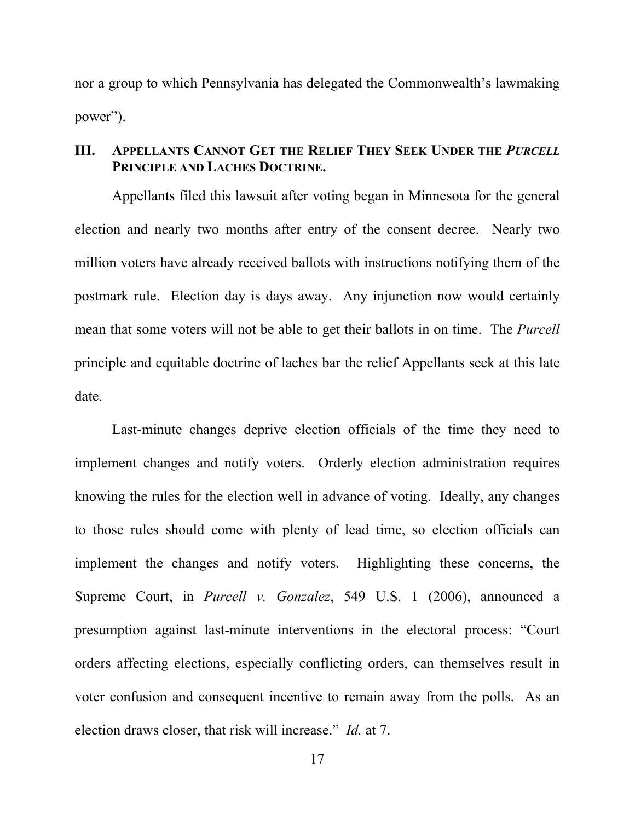nor a group to which Pennsylvania has delegated the Commonwealth's lawmaking power").

## **III. APPELLANTS CANNOT GET THE RELIEF THEY SEEK UNDER THE** *PURCELL*  **PRINCIPLE AND LACHES DOCTRINE.**

Appellants filed this lawsuit after voting began in Minnesota for the general election and nearly two months after entry of the consent decree. Nearly two million voters have already received ballots with instructions notifying them of the postmark rule. Election day is days away. Any injunction now would certainly mean that some voters will not be able to get their ballots in on time. The *Purcell*  principle and equitable doctrine of laches bar the relief Appellants seek at this late date.

Last-minute changes deprive election officials of the time they need to implement changes and notify voters. Orderly election administration requires knowing the rules for the election well in advance of voting. Ideally, any changes to those rules should come with plenty of lead time, so election officials can implement the changes and notify voters. Highlighting these concerns, the Supreme Court, in *Purcell v. Gonzalez*, 549 U.S. 1 (2006), announced a presumption against last-minute interventions in the electoral process: "Court orders affecting elections, especially conflicting orders, can themselves result in voter confusion and consequent incentive to remain away from the polls. As an election draws closer, that risk will increase." *Id.* at 7.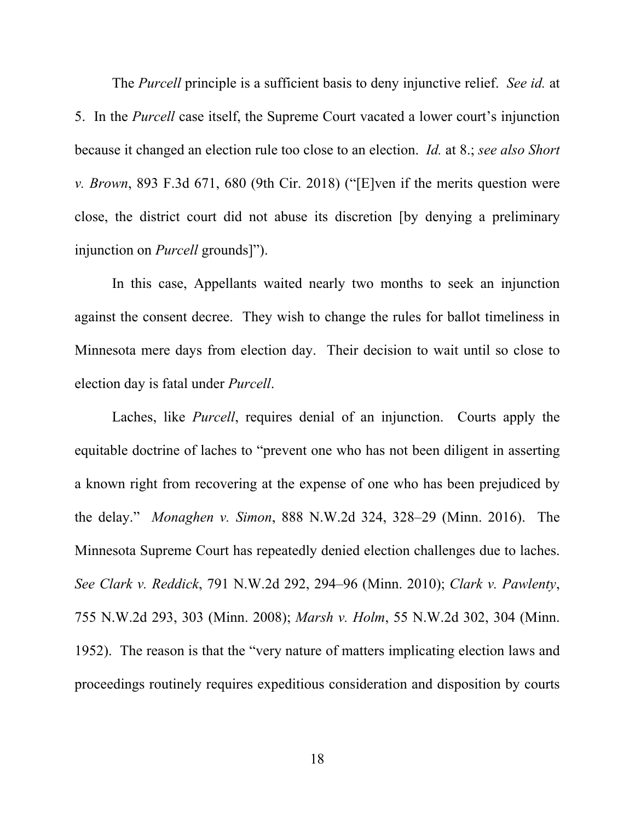The *Purcell* principle is a sufficient basis to deny injunctive relief. *See id.* at 5. In the *Purcell* case itself, the Supreme Court vacated a lower court's injunction because it changed an election rule too close to an election. *Id.* at 8.; *see also Short v. Brown*, 893 F.3d 671, 680 (9th Cir. 2018) ("[E]ven if the merits question were close, the district court did not abuse its discretion [by denying a preliminary injunction on *Purcell* grounds]").

In this case, Appellants waited nearly two months to seek an injunction against the consent decree. They wish to change the rules for ballot timeliness in Minnesota mere days from election day. Their decision to wait until so close to election day is fatal under *Purcell*.

Laches, like *Purcell*, requires denial of an injunction. Courts apply the equitable doctrine of laches to "prevent one who has not been diligent in asserting a known right from recovering at the expense of one who has been prejudiced by the delay." *Monaghen v. Simon*, 888 N.W.2d 324, 328–29 (Minn. 2016). The Minnesota Supreme Court has repeatedly denied election challenges due to laches. *See Clark v. Reddick*, 791 N.W.2d 292, 294–96 (Minn. 2010); *Clark v. Pawlenty*, 755 N.W.2d 293, 303 (Minn. 2008); *Marsh v. Holm*, 55 N.W.2d 302, 304 (Minn. 1952). The reason is that the "very nature of matters implicating election laws and proceedings routinely requires expeditious consideration and disposition by courts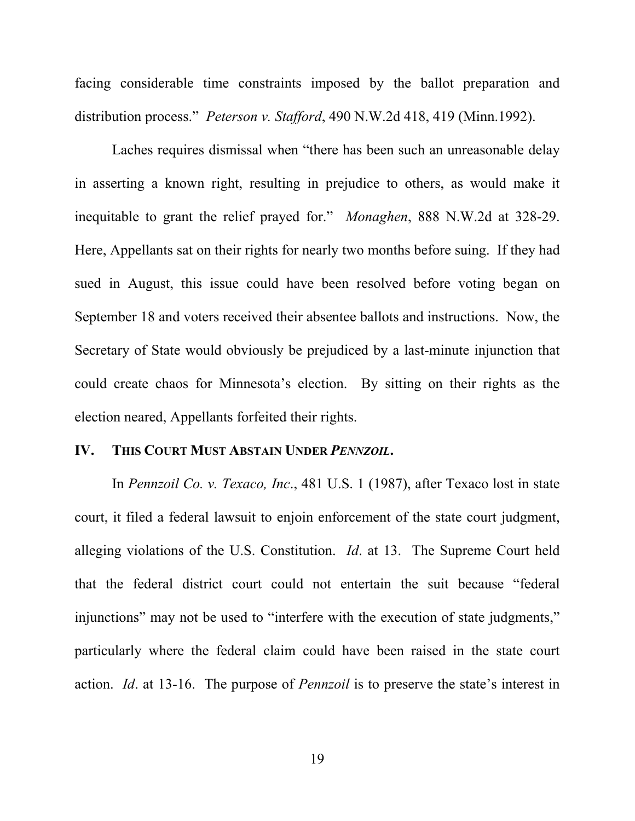facing considerable time constraints imposed by the ballot preparation and distribution process." *Peterson v. Stafford*, 490 N.W.2d 418, 419 (Minn.1992).

Laches requires dismissal when "there has been such an unreasonable delay in asserting a known right, resulting in prejudice to others, as would make it inequitable to grant the relief prayed for." *Monaghen*, 888 N.W.2d at 328-29. Here, Appellants sat on their rights for nearly two months before suing. If they had sued in August, this issue could have been resolved before voting began on September 18 and voters received their absentee ballots and instructions. Now, the Secretary of State would obviously be prejudiced by a last-minute injunction that could create chaos for Minnesota's election. By sitting on their rights as the election neared, Appellants forfeited their rights.

#### **IV. THIS COURT MUST ABSTAIN UNDER** *PENNZOIL***.**

In *Pennzoil Co. v. Texaco, Inc*., 481 U.S. 1 (1987), after Texaco lost in state court, it filed a federal lawsuit to enjoin enforcement of the state court judgment, alleging violations of the U.S. Constitution. *Id*. at 13. The Supreme Court held that the federal district court could not entertain the suit because "federal injunctions" may not be used to "interfere with the execution of state judgments," particularly where the federal claim could have been raised in the state court action. *Id*. at 13-16. The purpose of *Pennzoil* is to preserve the state's interest in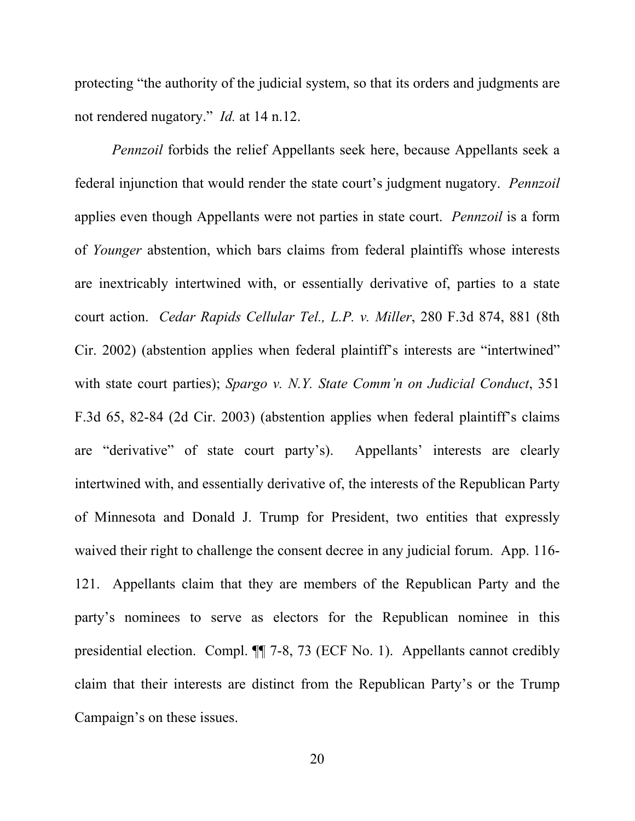protecting "the authority of the judicial system, so that its orders and judgments are not rendered nugatory." *Id.* at 14 n.12.

*Pennzoil* forbids the relief Appellants seek here, because Appellants seek a federal injunction that would render the state court's judgment nugatory. *Pennzoil*  applies even though Appellants were not parties in state court. *Pennzoil* is a form of *Younger* abstention, which bars claims from federal plaintiffs whose interests are inextricably intertwined with, or essentially derivative of, parties to a state court action. *Cedar Rapids Cellular Tel., L.P. v. Miller*, 280 F.3d 874, 881 (8th Cir. 2002) (abstention applies when federal plaintiff's interests are "intertwined" with state court parties); *Spargo v. N.Y. State Comm'n on Judicial Conduct*, 351 F.3d 65, 82-84 (2d Cir. 2003) (abstention applies when federal plaintiff's claims are "derivative" of state court party's). Appellants' interests are clearly intertwined with, and essentially derivative of, the interests of the Republican Party of Minnesota and Donald J. Trump for President, two entities that expressly waived their right to challenge the consent decree in any judicial forum. App. 116- 121. Appellants claim that they are members of the Republican Party and the party's nominees to serve as electors for the Republican nominee in this presidential election. Compl. ¶¶ 7-8, 73 (ECF No. 1). Appellants cannot credibly claim that their interests are distinct from the Republican Party's or the Trump Campaign's on these issues.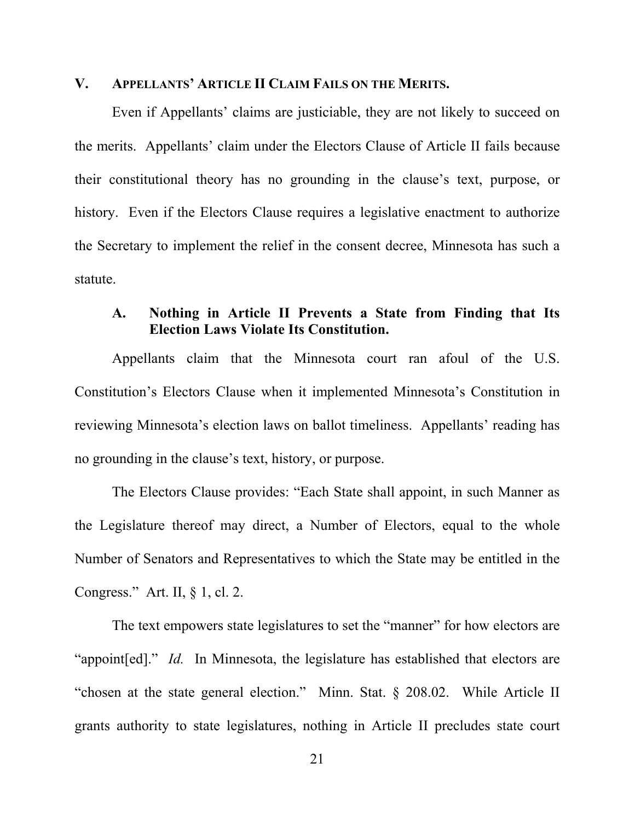#### **V. APPELLANTS' ARTICLE II CLAIM FAILS ON THE MERITS.**

Even if Appellants' claims are justiciable, they are not likely to succeed on the merits. Appellants' claim under the Electors Clause of Article II fails because their constitutional theory has no grounding in the clause's text, purpose, or history. Even if the Electors Clause requires a legislative enactment to authorize the Secretary to implement the relief in the consent decree, Minnesota has such a statute.

## **A. Nothing in Article II Prevents a State from Finding that Its Election Laws Violate Its Constitution.**

Appellants claim that the Minnesota court ran afoul of the U.S. Constitution's Electors Clause when it implemented Minnesota's Constitution in reviewing Minnesota's election laws on ballot timeliness. Appellants' reading has no grounding in the clause's text, history, or purpose.

The Electors Clause provides: "Each State shall appoint, in such Manner as the Legislature thereof may direct, a Number of Electors, equal to the whole Number of Senators and Representatives to which the State may be entitled in the Congress." Art. II, § 1, cl. 2.

The text empowers state legislatures to set the "manner" for how electors are "appoint[ed]." *Id.* In Minnesota, the legislature has established that electors are "chosen at the state general election." Minn. Stat. § 208.02. While Article II grants authority to state legislatures, nothing in Article II precludes state court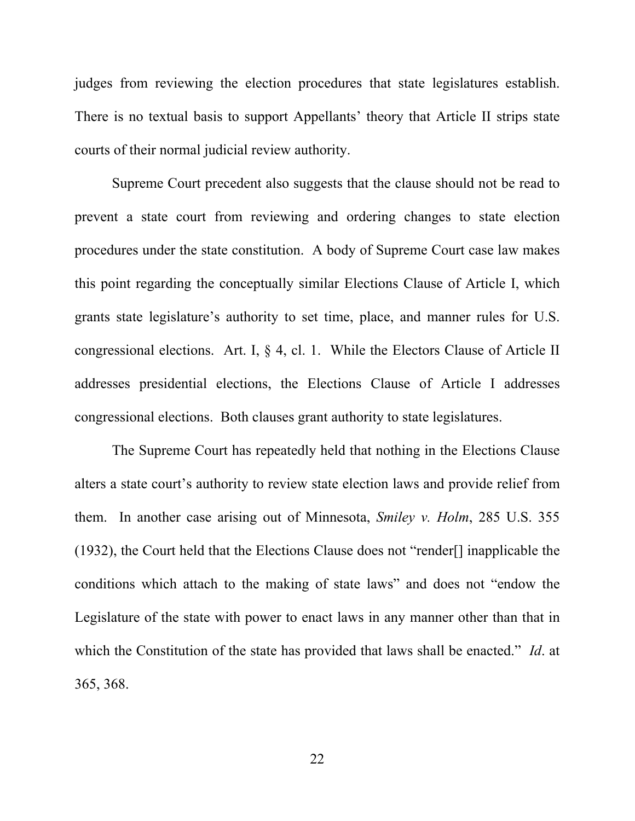judges from reviewing the election procedures that state legislatures establish. There is no textual basis to support Appellants' theory that Article II strips state courts of their normal judicial review authority.

Supreme Court precedent also suggests that the clause should not be read to prevent a state court from reviewing and ordering changes to state election procedures under the state constitution. A body of Supreme Court case law makes this point regarding the conceptually similar Elections Clause of Article I, which grants state legislature's authority to set time, place, and manner rules for U.S. congressional elections. Art. I, § 4, cl. 1. While the Electors Clause of Article II addresses presidential elections, the Elections Clause of Article I addresses congressional elections. Both clauses grant authority to state legislatures.

The Supreme Court has repeatedly held that nothing in the Elections Clause alters a state court's authority to review state election laws and provide relief from them. In another case arising out of Minnesota, *Smiley v. Holm*, 285 U.S. 355 (1932), the Court held that the Elections Clause does not "render[] inapplicable the conditions which attach to the making of state laws" and does not "endow the Legislature of the state with power to enact laws in any manner other than that in which the Constitution of the state has provided that laws shall be enacted." *Id*. at 365, 368.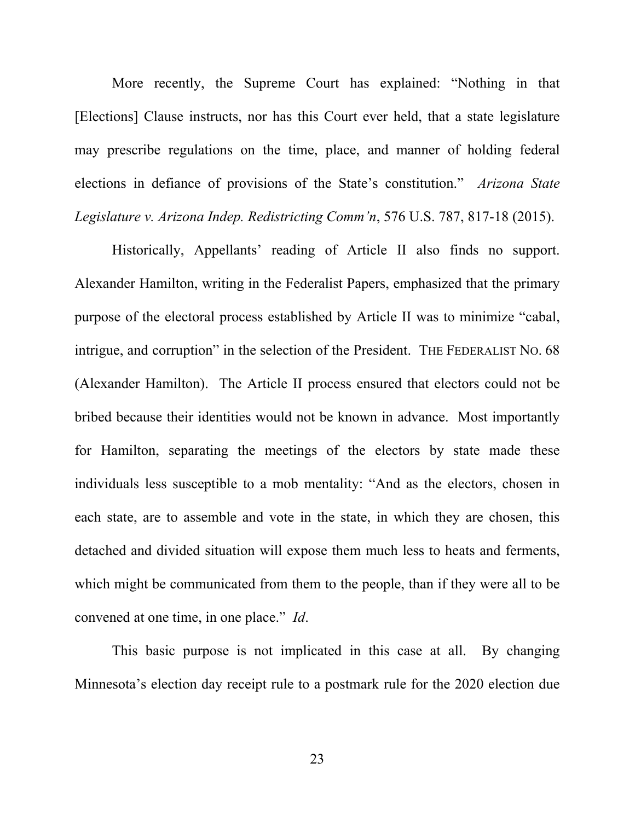More recently, the Supreme Court has explained: "Nothing in that [Elections] Clause instructs, nor has this Court ever held, that a state legislature may prescribe regulations on the time, place, and manner of holding federal elections in defiance of provisions of the State's constitution." *Arizona State Legislature v. Arizona Indep. Redistricting Comm'n*, 576 U.S. 787, 817-18 (2015).

Historically, Appellants' reading of Article II also finds no support. Alexander Hamilton, writing in the Federalist Papers, emphasized that the primary purpose of the electoral process established by Article II was to minimize "cabal, intrigue, and corruption" in the selection of the President. THE FEDERALIST NO. 68 (Alexander Hamilton). The Article II process ensured that electors could not be bribed because their identities would not be known in advance. Most importantly for Hamilton, separating the meetings of the electors by state made these individuals less susceptible to a mob mentality: "And as the electors, chosen in each state, are to assemble and vote in the state, in which they are chosen, this detached and divided situation will expose them much less to heats and ferments, which might be communicated from them to the people, than if they were all to be convened at one time, in one place." *Id*.

This basic purpose is not implicated in this case at all. By changing Minnesota's election day receipt rule to a postmark rule for the 2020 election due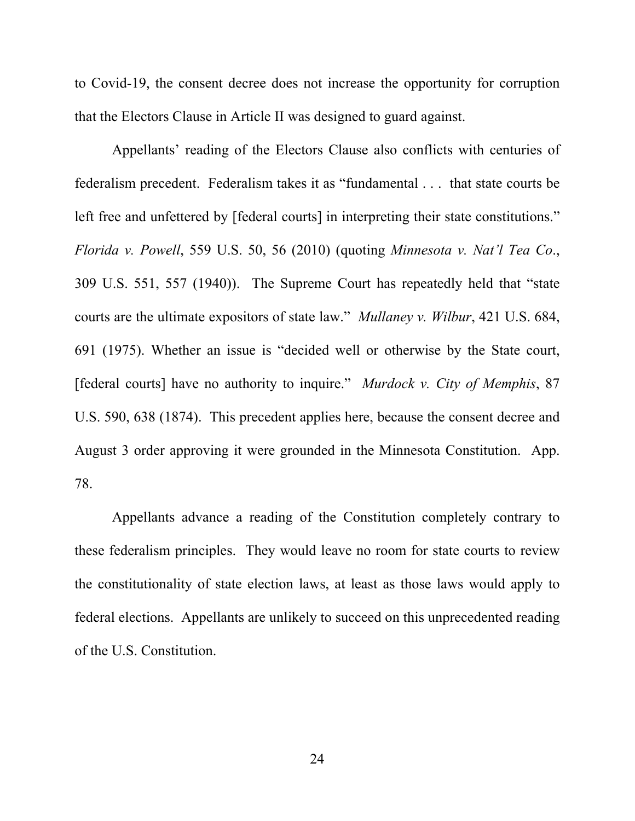to Covid-19, the consent decree does not increase the opportunity for corruption that the Electors Clause in Article II was designed to guard against.

Appellants' reading of the Electors Clause also conflicts with centuries of federalism precedent. Federalism takes it as "fundamental . . . that state courts be left free and unfettered by [federal courts] in interpreting their state constitutions." *Florida v. Powell*, 559 U.S. 50, 56 (2010) (quoting *Minnesota v. Nat'l Tea Co*., 309 U.S. 551, 557 (1940)). The Supreme Court has repeatedly held that "state courts are the ultimate expositors of state law." *Mullaney v. Wilbur*, 421 U.S. 684, 691 (1975). Whether an issue is "decided well or otherwise by the State court, [federal courts] have no authority to inquire." *Murdock v. City of Memphis*, 87 U.S. 590, 638 (1874). This precedent applies here, because the consent decree and August 3 order approving it were grounded in the Minnesota Constitution. App. 78.

Appellants advance a reading of the Constitution completely contrary to these federalism principles. They would leave no room for state courts to review the constitutionality of state election laws, at least as those laws would apply to federal elections. Appellants are unlikely to succeed on this unprecedented reading of the U.S. Constitution.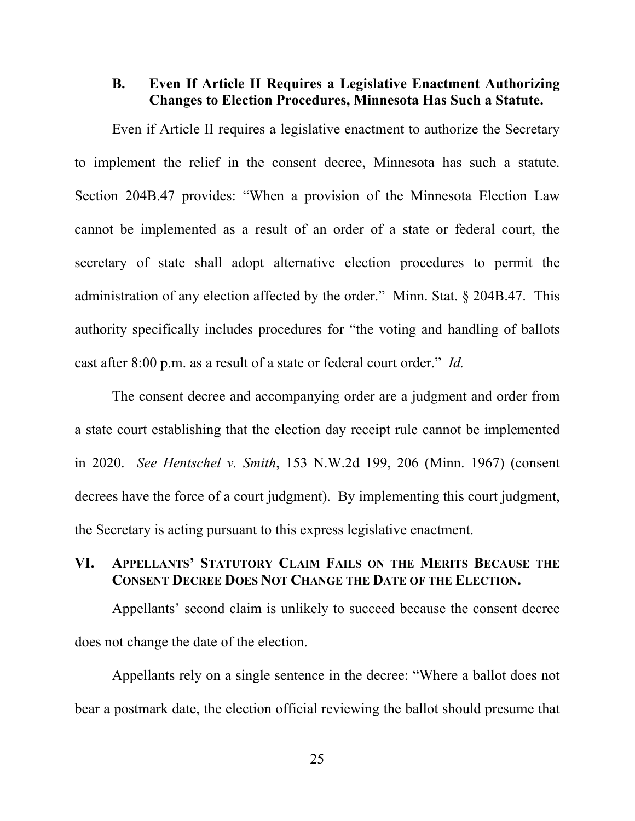## **B. Even If Article II Requires a Legislative Enactment Authorizing Changes to Election Procedures, Minnesota Has Such a Statute.**

Even if Article II requires a legislative enactment to authorize the Secretary to implement the relief in the consent decree, Minnesota has such a statute. Section 204B.47 provides: "When a provision of the Minnesota Election Law cannot be implemented as a result of an order of a state or federal court, the secretary of state shall adopt alternative election procedures to permit the administration of any election affected by the order." Minn. Stat. § 204B.47. This authority specifically includes procedures for "the voting and handling of ballots cast after 8:00 p.m. as a result of a state or federal court order." *Id.*

The consent decree and accompanying order are a judgment and order from a state court establishing that the election day receipt rule cannot be implemented in 2020. *See Hentschel v. Smith*, 153 N.W.2d 199, 206 (Minn. 1967) (consent decrees have the force of a court judgment). By implementing this court judgment, the Secretary is acting pursuant to this express legislative enactment.

## **VI. APPELLANTS' STATUTORY CLAIM FAILS ON THE MERITS BECAUSE THE CONSENT DECREE DOES NOT CHANGE THE DATE OF THE ELECTION.**

Appellants' second claim is unlikely to succeed because the consent decree does not change the date of the election.

 Appellants rely on a single sentence in the decree: "Where a ballot does not bear a postmark date, the election official reviewing the ballot should presume that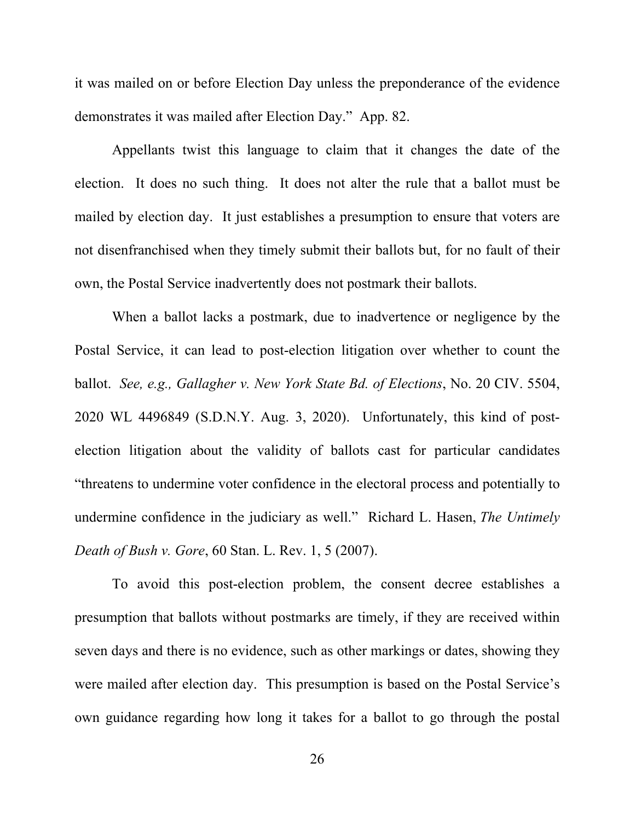it was mailed on or before Election Day unless the preponderance of the evidence demonstrates it was mailed after Election Day." App. 82.

Appellants twist this language to claim that it changes the date of the election. It does no such thing. It does not alter the rule that a ballot must be mailed by election day. It just establishes a presumption to ensure that voters are not disenfranchised when they timely submit their ballots but, for no fault of their own, the Postal Service inadvertently does not postmark their ballots.

When a ballot lacks a postmark, due to inadvertence or negligence by the Postal Service, it can lead to post-election litigation over whether to count the ballot. *See, e.g., Gallagher v. New York State Bd. of Elections*, No. 20 CIV. 5504, 2020 WL 4496849 (S.D.N.Y. Aug. 3, 2020). Unfortunately, this kind of postelection litigation about the validity of ballots cast for particular candidates "threatens to undermine voter confidence in the electoral process and potentially to undermine confidence in the judiciary as well." Richard L. Hasen, *The Untimely Death of Bush v. Gore*, 60 Stan. L. Rev. 1, 5 (2007).

To avoid this post-election problem, the consent decree establishes a presumption that ballots without postmarks are timely, if they are received within seven days and there is no evidence, such as other markings or dates, showing they were mailed after election day. This presumption is based on the Postal Service's own guidance regarding how long it takes for a ballot to go through the postal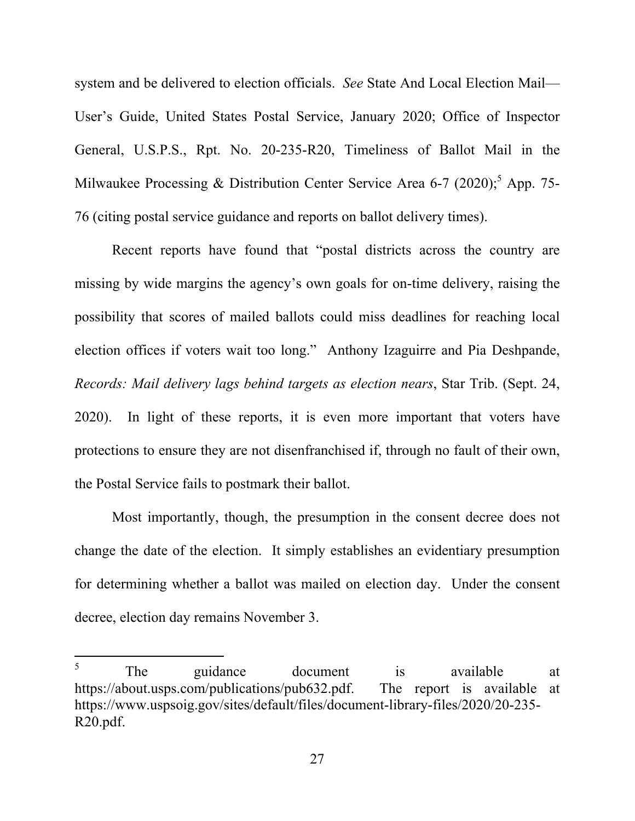system and be delivered to election officials. *See* State And Local Election Mail— User's Guide, United States Postal Service, January 2020; Office of Inspector General, U.S.P.S., Rpt. No. 20-235-R20, Timeliness of Ballot Mail in the Milwaukee Processing & Distribution Center Service Area 6-7 (2020);<sup>5</sup> App. 75-76 (citing postal service guidance and reports on ballot delivery times).

Recent reports have found that "postal districts across the country are missing by wide margins the agency's own goals for on-time delivery, raising the possibility that scores of mailed ballots could miss deadlines for reaching local election offices if voters wait too long." Anthony Izaguirre and Pia Deshpande, *Records: Mail delivery lags behind targets as election nears*, Star Trib. (Sept. 24, 2020). In light of these reports, it is even more important that voters have protections to ensure they are not disenfranchised if, through no fault of their own, the Postal Service fails to postmark their ballot.

Most importantly, though, the presumption in the consent decree does not change the date of the election. It simply establishes an evidentiary presumption for determining whether a ballot was mailed on election day. Under the consent decree, election day remains November 3.

l

<sup>5</sup> The guidance document is available at https://about.usps.com/publications/pub632.pdf. The report is available at https://www.uspsoig.gov/sites/default/files/document-library-files/2020/20-235- R20.pdf.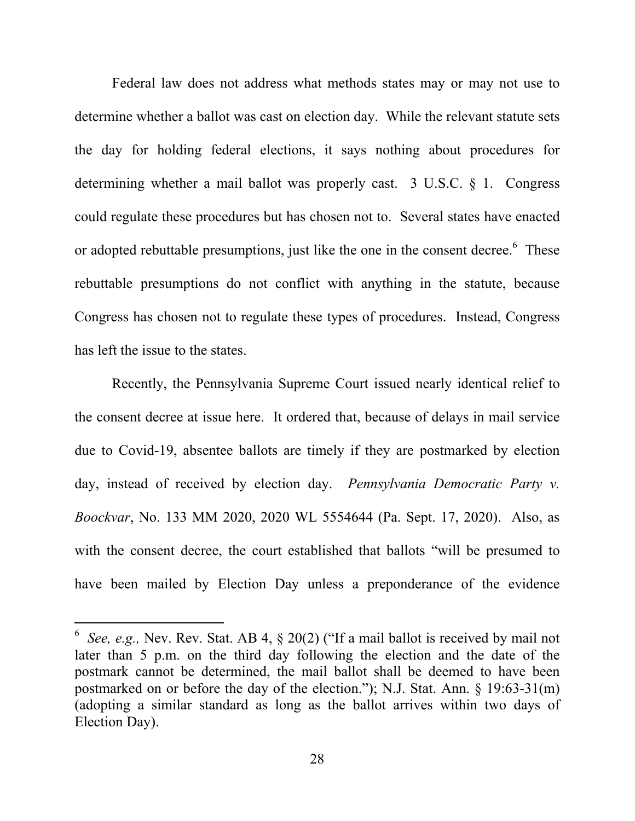Federal law does not address what methods states may or may not use to determine whether a ballot was cast on election day. While the relevant statute sets the day for holding federal elections, it says nothing about procedures for determining whether a mail ballot was properly cast. 3 U.S.C. § 1. Congress could regulate these procedures but has chosen not to. Several states have enacted or adopted rebuttable presumptions, just like the one in the consent decree.  $6$  These rebuttable presumptions do not conflict with anything in the statute, because Congress has chosen not to regulate these types of procedures. Instead, Congress has left the issue to the states.

Recently, the Pennsylvania Supreme Court issued nearly identical relief to the consent decree at issue here. It ordered that, because of delays in mail service due to Covid-19, absentee ballots are timely if they are postmarked by election day, instead of received by election day. *Pennsylvania Democratic Party v. Boockvar*, No. 133 MM 2020, 2020 WL 5554644 (Pa. Sept. 17, 2020). Also, as with the consent decree, the court established that ballots "will be presumed to have been mailed by Election Day unless a preponderance of the evidence

 $\overline{a}$ 

<sup>6</sup> *See, e.g.,* Nev. Rev. Stat. AB 4, § 20(2) ("If a mail ballot is received by mail not later than 5 p.m. on the third day following the election and the date of the postmark cannot be determined, the mail ballot shall be deemed to have been postmarked on or before the day of the election."); N.J. Stat. Ann. § 19:63-31(m) (adopting a similar standard as long as the ballot arrives within two days of Election Day).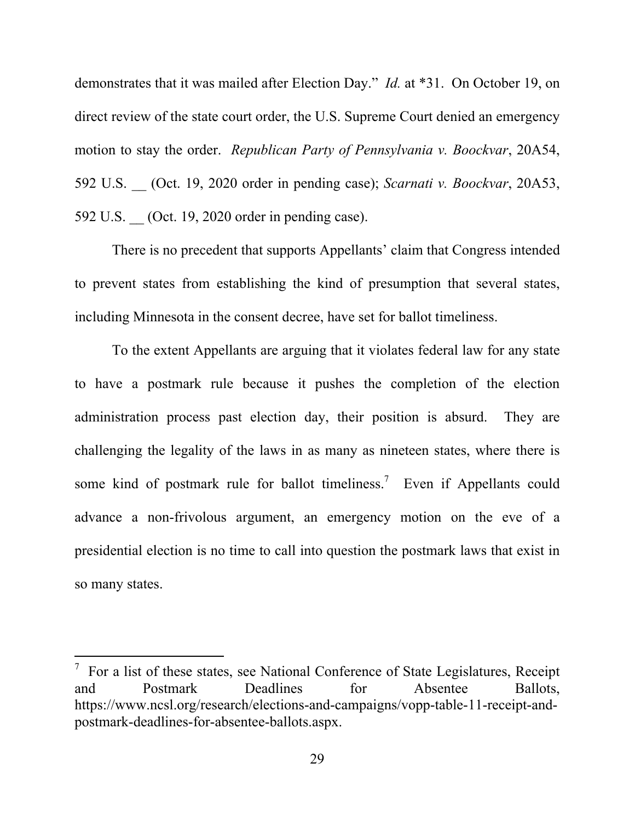demonstrates that it was mailed after Election Day." *Id.* at \*31. On October 19, on direct review of the state court order, the U.S. Supreme Court denied an emergency motion to stay the order. *Republican Party of Pennsylvania v. Boockvar*, 20A54, 592 U.S. \_\_ (Oct. 19, 2020 order in pending case); *Scarnati v. Boockvar*, 20A53, 592 U.S. (Oct. 19, 2020 order in pending case).

There is no precedent that supports Appellants' claim that Congress intended to prevent states from establishing the kind of presumption that several states, including Minnesota in the consent decree, have set for ballot timeliness.

To the extent Appellants are arguing that it violates federal law for any state to have a postmark rule because it pushes the completion of the election administration process past election day, their position is absurd. They are challenging the legality of the laws in as many as nineteen states, where there is some kind of postmark rule for ballot timeliness.<sup>7</sup> Even if Appellants could advance a non-frivolous argument, an emergency motion on the eve of a presidential election is no time to call into question the postmark laws that exist in so many states.

l

 $\frac{7}{1}$  For a list of these states, see National Conference of State Legislatures, Receipt and Postmark Deadlines for Absentee Ballots, https://www.ncsl.org/research/elections-and-campaigns/vopp-table-11-receipt-andpostmark-deadlines-for-absentee-ballots.aspx.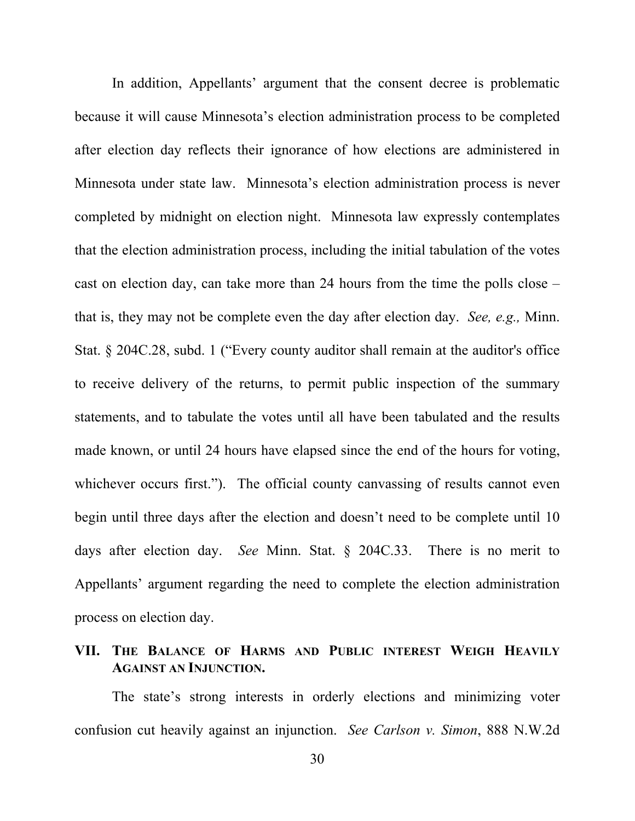In addition, Appellants' argument that the consent decree is problematic because it will cause Minnesota's election administration process to be completed after election day reflects their ignorance of how elections are administered in Minnesota under state law. Minnesota's election administration process is never completed by midnight on election night. Minnesota law expressly contemplates that the election administration process, including the initial tabulation of the votes cast on election day, can take more than 24 hours from the time the polls close – that is, they may not be complete even the day after election day. *See, e.g.,* Minn. Stat. § 204C.28, subd. 1 ("Every county auditor shall remain at the auditor's office to receive delivery of the returns, to permit public inspection of the summary statements, and to tabulate the votes until all have been tabulated and the results made known, or until 24 hours have elapsed since the end of the hours for voting, whichever occurs first."). The official county canvassing of results cannot even begin until three days after the election and doesn't need to be complete until 10 days after election day. *See* Minn. Stat. § 204C.33. There is no merit to Appellants' argument regarding the need to complete the election administration process on election day.

## **VII. THE BALANCE OF HARMS AND PUBLIC INTEREST WEIGH HEAVILY AGAINST AN INJUNCTION.**

The state's strong interests in orderly elections and minimizing voter confusion cut heavily against an injunction. *See Carlson v. Simon*, 888 N.W.2d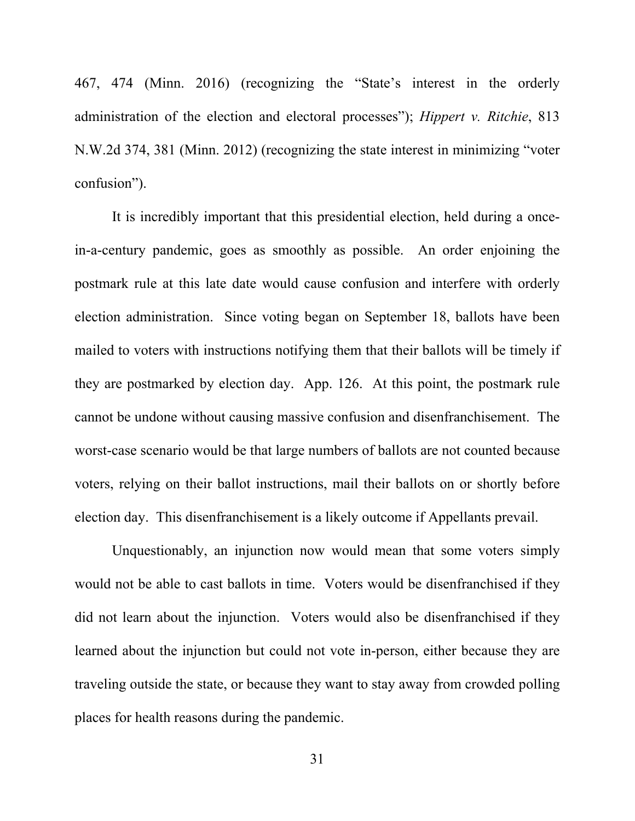467, 474 (Minn. 2016) (recognizing the "State's interest in the orderly administration of the election and electoral processes"); *Hippert v. Ritchie*, 813 N.W.2d 374, 381 (Minn. 2012) (recognizing the state interest in minimizing "voter confusion").

It is incredibly important that this presidential election, held during a oncein-a-century pandemic, goes as smoothly as possible. An order enjoining the postmark rule at this late date would cause confusion and interfere with orderly election administration. Since voting began on September 18, ballots have been mailed to voters with instructions notifying them that their ballots will be timely if they are postmarked by election day. App. 126. At this point, the postmark rule cannot be undone without causing massive confusion and disenfranchisement. The worst-case scenario would be that large numbers of ballots are not counted because voters, relying on their ballot instructions, mail their ballots on or shortly before election day. This disenfranchisement is a likely outcome if Appellants prevail.

Unquestionably, an injunction now would mean that some voters simply would not be able to cast ballots in time. Voters would be disenfranchised if they did not learn about the injunction. Voters would also be disenfranchised if they learned about the injunction but could not vote in-person, either because they are traveling outside the state, or because they want to stay away from crowded polling places for health reasons during the pandemic.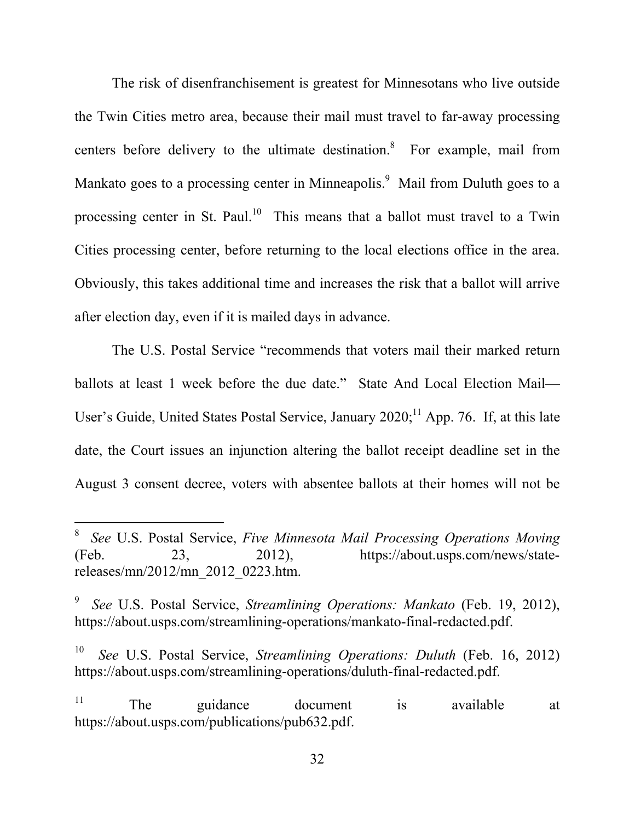The risk of disenfranchisement is greatest for Minnesotans who live outside the Twin Cities metro area, because their mail must travel to far-away processing centers before delivery to the ultimate destination. $8$  For example, mail from Mankato goes to a processing center in Minneapolis.<sup>9</sup> Mail from Duluth goes to a processing center in St. Paul.<sup>10</sup> This means that a ballot must travel to a Twin Cities processing center, before returning to the local elections office in the area. Obviously, this takes additional time and increases the risk that a ballot will arrive after election day, even if it is mailed days in advance.

The U.S. Postal Service "recommends that voters mail their marked return ballots at least 1 week before the due date." State And Local Election Mail— User's Guide, United States Postal Service, January  $2020$ ;<sup>11</sup> App. 76. If, at this late date, the Court issues an injunction altering the ballot receipt deadline set in the August 3 consent decree, voters with absentee ballots at their homes will not be

 $\overline{a}$ 

<sup>8</sup> *See* U.S. Postal Service, *Five Minnesota Mail Processing Operations Moving*  (Feb. 23, 2012), https://about.usps.com/news/statereleases/mn/2012/mn\_2012\_0223.htm.

<sup>9</sup> *See* U.S. Postal Service, *Streamlining Operations: Mankato* (Feb. 19, 2012), https://about.usps.com/streamlining-operations/mankato-final-redacted.pdf.

<sup>10</sup> *See* U.S. Postal Service, *Streamlining Operations: Duluth* (Feb. 16, 2012) https://about.usps.com/streamlining-operations/duluth-final-redacted.pdf.

<sup>&</sup>lt;sup>11</sup> The guidance document is available at https://about.usps.com/publications/pub632.pdf.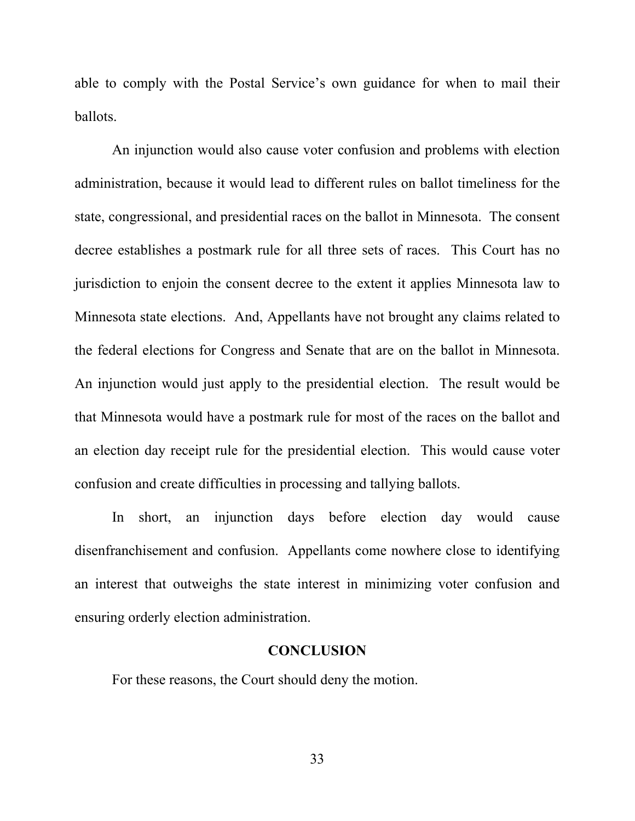able to comply with the Postal Service's own guidance for when to mail their ballots.

An injunction would also cause voter confusion and problems with election administration, because it would lead to different rules on ballot timeliness for the state, congressional, and presidential races on the ballot in Minnesota. The consent decree establishes a postmark rule for all three sets of races. This Court has no jurisdiction to enjoin the consent decree to the extent it applies Minnesota law to Minnesota state elections. And, Appellants have not brought any claims related to the federal elections for Congress and Senate that are on the ballot in Minnesota. An injunction would just apply to the presidential election. The result would be that Minnesota would have a postmark rule for most of the races on the ballot and an election day receipt rule for the presidential election. This would cause voter confusion and create difficulties in processing and tallying ballots.

In short, an injunction days before election day would cause disenfranchisement and confusion. Appellants come nowhere close to identifying an interest that outweighs the state interest in minimizing voter confusion and ensuring orderly election administration.

### **CONCLUSION**

For these reasons, the Court should deny the motion.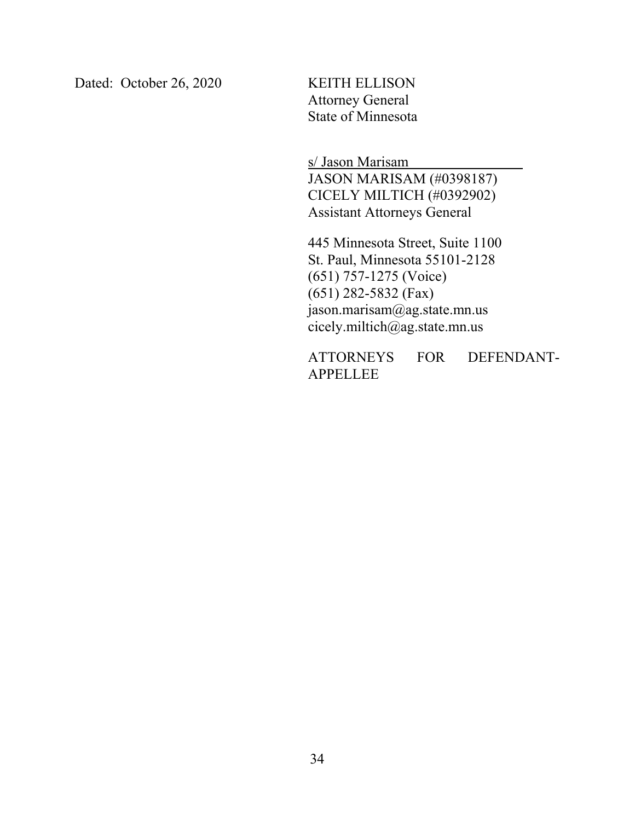Dated: October 26, 2020 KEITH ELLISON

Attorney General State of Minnesota

s/ Jason Marisam

JASON MARISAM (#0398187) CICELY MILTICH (#0392902) Assistant Attorneys General

445 Minnesota Street, Suite 1100 St. Paul, Minnesota 55101-2128 (651) 757-1275 (Voice) (651) 282-5832 (Fax) jason.marisam@ag.state.mn.us cicely.miltich@ag.state.mn.us

ATTORNEYS FOR DEFENDANT-APPELLEE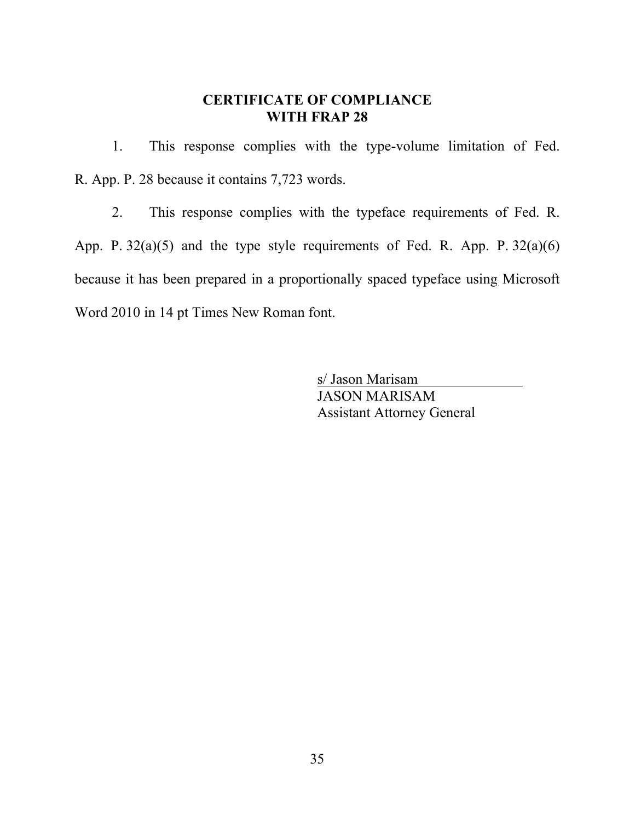### **CERTIFICATE OF COMPLIANCE WITH FRAP 28**

1. This response complies with the type-volume limitation of Fed. R. App. P. 28 because it contains 7,723 words.

2. This response complies with the typeface requirements of Fed. R. App. P.  $32(a)(5)$  and the type style requirements of Fed. R. App. P.  $32(a)(6)$ because it has been prepared in a proportionally spaced typeface using Microsoft Word 2010 in 14 pt Times New Roman font.

> s/ Jason Marisam JASON MARISAM Assistant Attorney General